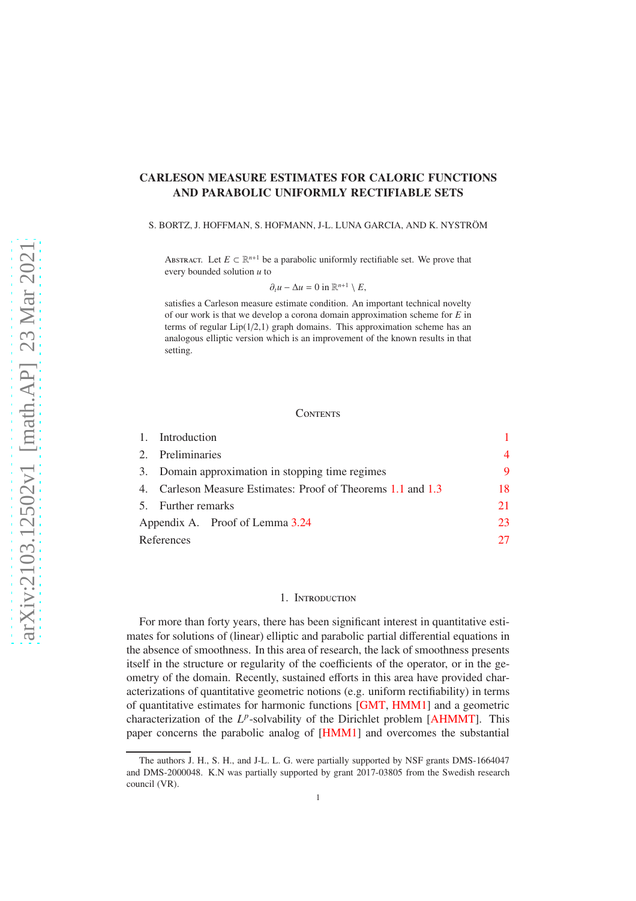# <span id="page-0-1"></span>CARLESON MEASURE ESTIMATES FOR CALORIC FUNCTIONS AND PARABOLIC UNIFORMLY RECTIFIABLE SETS

#### S. BORTZ, J. HOFFMAN, S. HOFMANN, J-L. LUNA GARCIA, AND K. NYSTRÖM

ABSTRACT. Let  $E \subset \mathbb{R}^{n+1}$  be a parabolic uniformly rectifiable set. We prove that every bounded solution *u* to

$$
\partial_t u - \Delta u = 0 \text{ in } \mathbb{R}^{n+1} \setminus E,
$$

satisfies a Carleson measure estimate condition. An important technical novelty of our work is that we develop a corona domain approximation scheme for *E* in terms of regular  $Lip(1/2,1)$  graph domains. This approximation scheme has an analogous elliptic version which is an improvement of the known results in that setting.

### **CONTENTS**

|                                 | 1. Introduction                                           |                |  |
|---------------------------------|-----------------------------------------------------------|----------------|--|
|                                 | 2. Preliminaries                                          | $\overline{4}$ |  |
|                                 | 3. Domain approximation in stopping time regimes          | 9              |  |
|                                 | Carleson Measure Estimates: Proof of Theorems 1.1 and 1.3 |                |  |
|                                 | 5. Further remarks                                        |                |  |
| Appendix A. Proof of Lemma 3.24 |                                                           |                |  |
|                                 | References                                                |                |  |

## 1. Introduction

<span id="page-0-0"></span>For more than forty years, there has been significant interest in quantitative estimates for solutions of (linear) elliptic and parabolic partial differential equations in the absence of smoothness. In this area of research, the lack of smoothness presents itself in the structure or regularity of the coefficients of the operator, or in the geometry of the domain. Recently, sustained efforts in this area have provided characterizations of quantitative geometric notions (e.g. uniform rectifiability) in terms of quantitative estimates for harmonic functions [\[GMT,](#page-27-0) [HMM1\]](#page-27-1) and a geometric characterization of the L<sup>p</sup>-solvability of the Dirichlet problem [\[AHMMT\]](#page-26-1). This paper concerns the parabolic analog of [\[HMM1\]](#page-27-1) and overcomes the substantial

The authors J. H., S. H., and J-L. L. G. were partially supported by NSF grants DMS-1664047 and DMS-2000048. K.N was partially supported by grant 2017-03805 from the Swedish research council (VR).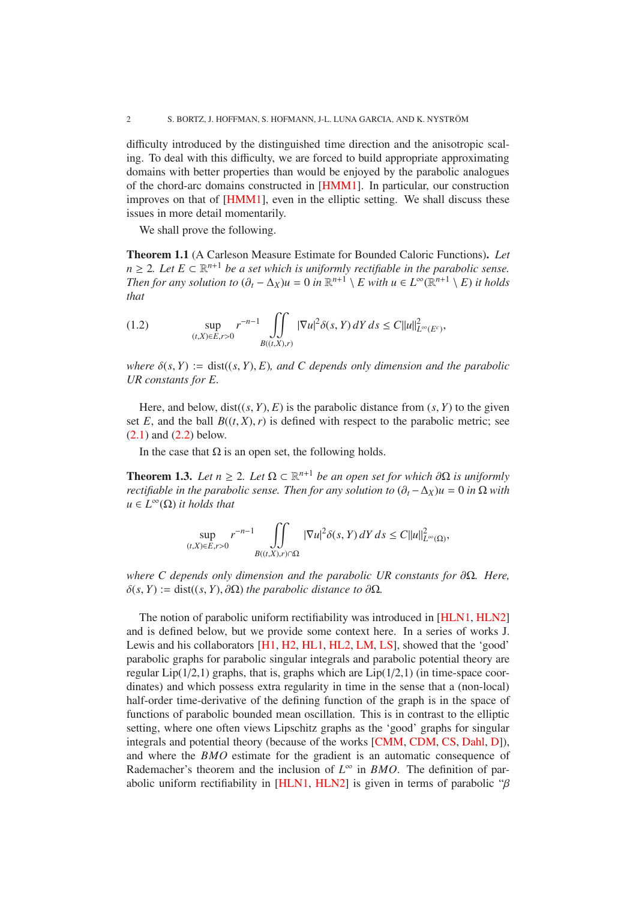<span id="page-1-3"></span>difficulty introduced by the distinguished time direction and the anisotropic scaling. To deal with this difficulty, we are forced to build appropriate approximating domains with better properties than would be enjoyed by the parabolic analogues of the chord-arc domains constructed in [\[HMM1\]](#page-27-1). In particular, our construction improves on that of [\[HMM1\]](#page-27-1), even in the elliptic setting. We shall discuss these issues in more detail momentarily.

We shall prove the following.

<span id="page-1-0"></span>Theorem 1.1 (A Carleson Measure Estimate for Bounded Caloric Functions). *Let n* ≥ 2*. Let*  $E \subset \mathbb{R}^{n+1}$  *be a set which is uniformly rectifiable in the parabolic sense. Then for any solution to*  $(\partial_t - \Delta_X)u = 0$  *in*  $\mathbb{R}^{n+1} \setminus E$  *with*  $u \in L^{\infty}(\mathbb{R}^{n+1} \setminus E)$  *it holds that*

<span id="page-1-2"></span>(1.2) 
$$
\sup_{(t,X)\in E, r>0} r^{-n-1} \iint_{B((t,X),r)} |\nabla u|^2 \delta(s,Y) dY ds \leq C ||u||^2_{L^{\infty}(E^c)},
$$

*where*  $\delta(s, Y) := \text{dist}((s, Y), E)$ *, and C* depends only dimension and the parabolic *UR constants for E.*

Here, and below,  $dist((s, Y), E)$  is the parabolic distance from  $(s, Y)$  to the given set  $E$ , and the ball  $B((t, X), r)$  is defined with respect to the parabolic metric; see  $(2.1)$  and  $(2.2)$  below.

In the case that  $\Omega$  is an open set, the following holds.

<span id="page-1-1"></span>**Theorem 1.3.** *Let*  $n \geq 2$ *. Let*  $\Omega \subset \mathbb{R}^{n+1}$  *be an open set for which*  $\partial \Omega$  *is uniformly rectifiable in the parabolic sense. Then for any solution to*  $(\partial_t - \Delta_X)u = 0$  *in*  $\Omega$  *with*  $u \in L^{\infty}(\Omega)$  *it holds that* 

$$
\sup_{(t,X)\in E,r>0}r^{-n-1}\iint_{B((t,X),r)\cap\Omega}|\nabla u|^2\delta(s,Y)\,dY\,ds\leq C||u||^2_{L^\infty(\Omega)},
$$

*where C depends only dimension and the parabolic UR constants for*  $\partial Ω$ *. Here,*  $\delta(s, Y) := \text{dist}((s, Y), \partial \Omega)$  *the parabolic distance to*  $\partial \Omega$ *.* 

The notion of parabolic uniform rectifiability was introduced in [\[HLN1,](#page-27-2) [HLN2\]](#page-27-3) and is defined below, but we provide some context here. In a series of works J. Lewis and his collaborators [\[H1,](#page-27-4) [H2,](#page-27-5) [HL1,](#page-27-6) [HL2,](#page-27-7) [LM,](#page-27-8) [LS\]](#page-27-9), showed that the 'good' parabolic graphs for parabolic singular integrals and parabolic potential theory are regular  $Lip(1/2,1)$  graphs, that is, graphs which are  $Lip(1/2,1)$  (in time-space coordinates) and which possess extra regularity in time in the sense that a (non-local) half-order time-derivative of the defining function of the graph is in the space of functions of parabolic bounded mean oscillation. This is in contrast to the elliptic setting, where one often views Lipschitz graphs as the 'good' graphs for singular integrals and potential theory (because of the works [\[CMM,](#page-26-2) [CDM,](#page-26-3) [CS,](#page-26-4) [Dahl,](#page-26-5) [D\]](#page-26-6)), and where the *BMO* estimate for the gradient is an automatic consequence of Rademacher's theorem and the inclusion of *L* ∞ in *BMO*. The definition of par-abolic uniform rectifiability in [\[HLN1,](#page-27-2) [HLN2\]](#page-27-3) is given in terms of parabolic " $\beta$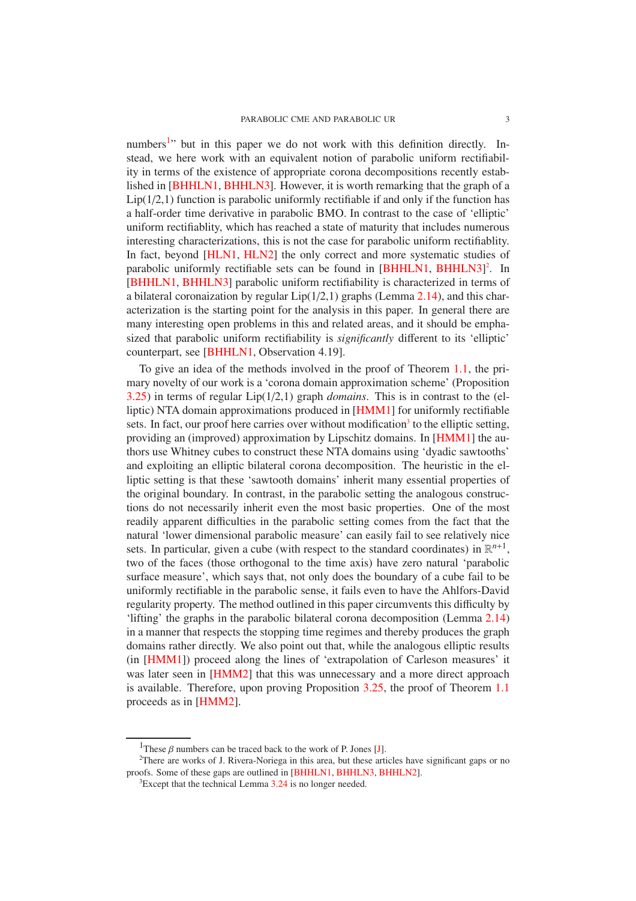<span id="page-2-3"></span>numbers<sup>[1](#page-2-0)</sup>" but in this paper we do not work with this definition directly. Instead, we here work with an equivalent notion of parabolic uniform rectifiability in terms of the existence of appropriate corona decompositions recently established in [\[BHHLN1,](#page-26-7) [BHHLN3\]](#page-26-8). However, it is worth remarking that the graph of a  $Lip(1/2,1)$  function is parabolic uniformly rectifiable if and only if the function has a half-order time derivative in parabolic BMO. In contrast to the case of 'elliptic' uniform rectifiablity, which has reached a state of maturity that includes numerous interesting characterizations, this is not the case for parabolic uniform rectifiablity. In fact, beyond [\[HLN1,](#page-27-2) [HLN2\]](#page-27-3) the only correct and more systematic studies of parabolic uniformly rectifiable sets can be found in [\[BHHLN1,](#page-26-7) [BHHLN3\]](#page-26-8)<sup>[2](#page-2-1)</sup>. In [\[BHHLN1,](#page-26-7) [BHHLN3\]](#page-26-8) parabolic uniform rectifiability is characterized in terms of a bilateral coronaization by regular  $Lip(1/2,1)$  graphs (Lemma [2.14\)](#page-6-0), and this characterization is the starting point for the analysis in this paper. In general there are many interesting open problems in this and related areas, and it should be emphasized that parabolic uniform rectifiability is *significantly* different to its 'elliptic' counterpart, see [\[BHHLN1,](#page-26-7) Observation 4.19].

To give an idea of the methods involved in the proof of Theorem [1.1,](#page-1-0) the primary novelty of our work is a 'corona domain approximation scheme' (Proposition [3.25\)](#page-15-0) in terms of regular Lip(1/2,1) graph *domains*. This is in contrast to the (elliptic) NTA domain approximations produced in [\[HMM1\]](#page-27-1) for uniformly rectifiable sets. In fact, our proof here carries over without modification<sup>[3](#page-2-2)</sup> to the elliptic setting, providing an (improved) approximation by Lipschitz domains. In [\[HMM1\]](#page-27-1) the authors use Whitney cubes to construct these NTA domains using 'dyadic sawtooths' and exploiting an elliptic bilateral corona decomposition. The heuristic in the elliptic setting is that these 'sawtooth domains' inherit many essential properties of the original boundary. In contrast, in the parabolic setting the analogous constructions do not necessarily inherit even the most basic properties. One of the most readily apparent difficulties in the parabolic setting comes from the fact that the natural 'lower dimensional parabolic measure' can easily fail to see relatively nice sets. In particular, given a cube (with respect to the standard coordinates) in  $\mathbb{R}^{n+1}$ , two of the faces (those orthogonal to the time axis) have zero natural 'parabolic surface measure', which says that, not only does the boundary of a cube fail to be uniformly rectifiable in the parabolic sense, it fails even to have the Ahlfors-David regularity property. The method outlined in this paper circumvents this difficulty by 'lifting' the graphs in the parabolic bilateral corona decomposition (Lemma [2.14\)](#page-6-0) in a manner that respects the stopping time regimes and thereby produces the graph domains rather directly. We also point out that, while the analogous elliptic results (in [\[HMM1\]](#page-27-1)) proceed along the lines of 'extrapolation of Carleson measures' it was later seen in [\[HMM2\]](#page-27-10) that this was unnecessary and a more direct approach is available. Therefore, upon proving Proposition [3.25,](#page-15-0) the proof of Theorem [1.1](#page-1-0) proceeds as in [\[HMM2\]](#page-27-10).

<span id="page-2-0"></span><sup>&</sup>lt;sup>1</sup>These  $\beta$  numbers can be traced back to the work of P. Jones [\[J\]](#page-27-11).

<sup>&</sup>lt;sup>2</sup>There are works of J. Rivera-Noriega in this area, but these articles have significant gaps or no proofs. Some of these gaps are outlined in [\[BHHLN1,](#page-26-7) [BHHLN3,](#page-26-8) [BHHLN2\]](#page-26-9).

<span id="page-2-2"></span><span id="page-2-1"></span> ${}^{3}$ Except that the technical Lemma [3.24](#page-14-0) is no longer needed.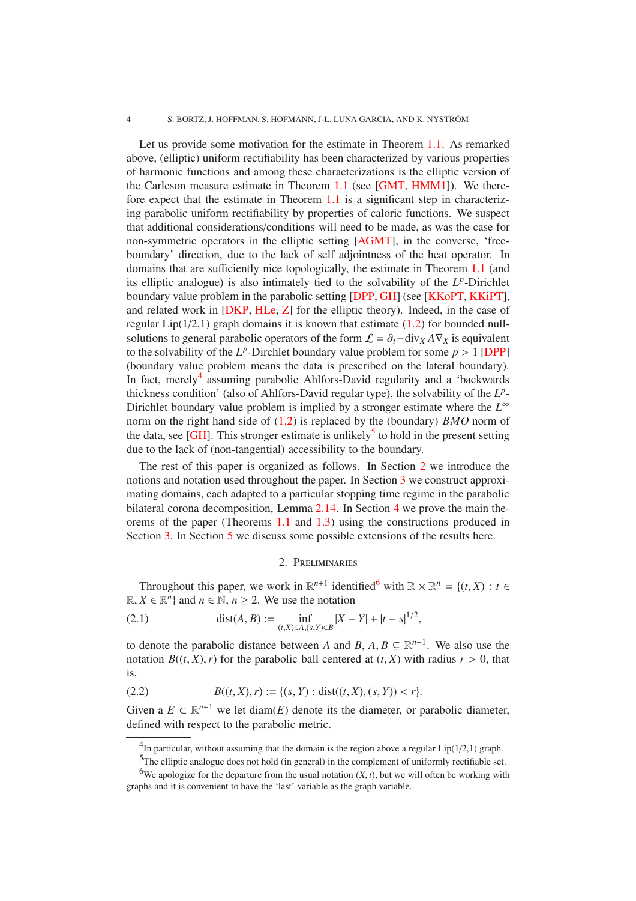### <span id="page-3-6"></span>4 S. BORTZ, J. HOFFMAN, S. HOFMANN, J-L. LUNA GARCIA, AND K. NYSTROM¨

Let us provide some motivation for the estimate in Theorem [1.1.](#page-1-0) As remarked above, (elliptic) uniform rectifiability has been characterized by various properties of harmonic functions and among these characterizations is the elliptic version of the Carleson measure estimate in Theorem [1.1](#page-1-0) (see [\[GMT,](#page-27-0) [HMM1\]](#page-27-1)). We therefore expect that the estimate in Theorem [1.1](#page-1-0) is a significant step in characterizing parabolic uniform rectifiability by properties of caloric functions. We suspect that additional considerations/conditions will need to be made, as was the case for non-symmetric operators in the elliptic setting [\[AGMT\]](#page-26-10), in the converse, 'freeboundary' direction, due to the lack of self adjointness of the heat operator. In domains that are sufficiently nice topologically, the estimate in Theorem [1.1](#page-1-0) (and its elliptic analogue) is also intimately tied to the solvability of the  $L^p$ -Dirichlet boundary value problem in the parabolic setting [\[DPP,](#page-27-12) [GH\]](#page-27-13) (see [\[KKoPT,](#page-27-14) [KKiPT\]](#page-27-15), and related work in [\[DKP,](#page-26-11) [HLe,](#page-27-16) [Z\]](#page-27-17) for the elliptic theory). Indeed, in the case of regular  $Lip(1/2,1)$  graph domains it is known that estimate  $(1.2)$  for bounded nullsolutions to general parabolic operators of the form  $\mathcal{L} = \partial_t - \text{div}_X A \nabla_X$  is equivalent to the solvability of the  $L^p$ -Dirchlet boundary value problem for some  $p > 1$  [\[DPP\]](#page-27-12) (boundary value problem means the data is prescribed on the lateral boundary). In fact, merely<sup>[4](#page-3-3)</sup> assuming parabolic Ahlfors-David regularity and a 'backwards thickness condition' (also of Ahlfors-David regular type), the solvability of the *L p* - Dirichlet boundary value problem is implied by a stronger estimate where the *L* ∞ norm on the right hand side of [\(1.2\)](#page-1-2) is replaced by the (boundary) *BMO* norm of the data, see [\[GH\]](#page-27-13). This stronger estimate is unlikely<sup>[5](#page-3-4)</sup> to hold in the present setting due to the lack of (non-tangential) accessibility to the boundary.

The rest of this paper is organized as follows. In Section [2](#page-3-0) we introduce the notions and notation used throughout the paper. In Section [3](#page-8-0) we construct approximating domains, each adapted to a particular stopping time regime in the parabolic bilateral corona decomposition, Lemma [2.14.](#page-6-0) In Section [4](#page-17-0) we prove the main theorems of the paper (Theorems [1.1](#page-1-0) and [1.3\)](#page-1-1) using the constructions produced in Section [3.](#page-8-0) In Section [5](#page-20-0) we discuss some possible extensions of the results here.

## <span id="page-3-1"></span>2. Preliminaries

<span id="page-3-0"></span>Throughout this paper, we work in  $\mathbb{R}^{n+1}$  identified<sup>[6](#page-3-5)</sup> with  $\mathbb{R} \times \mathbb{R}^n = \{(t, X) : t \in$  $\mathbb{R}, X \in \mathbb{R}^n$  and  $n \in \mathbb{N}, n \ge 2$ . We use the notation

(2.1) 
$$
\text{dist}(A, B) := \inf_{(t, X) \in A, (s, Y) \in B} |X - Y| + |t - s|^{1/2},
$$

to denote the parabolic distance between *A* and *B*,  $A, B \subseteq \mathbb{R}^{n+1}$ . We also use the notation  $B((t, X), r)$  for the parabolic ball centered at  $(t, X)$  with radius  $r > 0$ , that is,

<span id="page-3-2"></span>(2.2) 
$$
B((t, X), r) := \{(s, Y) : dist((t, X), (s, Y)) < r\}.
$$

Given a  $E \subset \mathbb{R}^{n+1}$  we let diam(*E*) denote its the diameter, or parabolic diameter, defined with respect to the parabolic metric.

<sup>&</sup>lt;sup>4</sup>In particular, without assuming that the domain is the region above a regular Lip( $1/2,1$ ) graph.

<span id="page-3-4"></span><span id="page-3-3"></span><sup>5</sup>The elliptic analogue does not hold (in general) in the complement of uniformly rectifiable set.

<span id="page-3-5"></span><sup>&</sup>lt;sup>6</sup>We apologize for the departure from the usual notation  $(X, t)$ , but we will often be working with graphs and it is convenient to have the 'last' variable as the graph variable.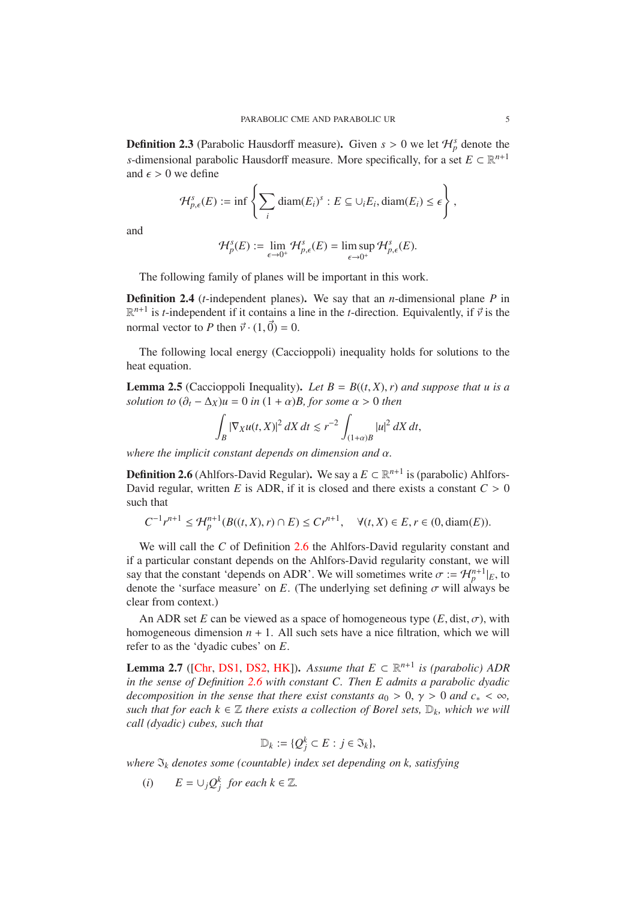<span id="page-4-3"></span>**Definition 2.3** (Parabolic Hausdorff measure). Given  $s > 0$  we let  $\mathcal{H}_{p}^{s}$  denote the *s*-dimensional parabolic Hausdorff measure. More specifically, for a set  $E \subset \mathbb{R}^{n+1}$ and  $\epsilon > 0$  we define

$$
\mathcal{H}_{p,\epsilon}^{s}(E) := \inf \left\{ \sum_{i} \text{diam}(E_{i})^{s} : E \subseteq \cup_{i} E_{i}, \text{diam}(E_{i}) \leq \epsilon \right\},\
$$

and

$$
\mathcal{H}_p^s(E) := \lim_{\epsilon \to 0^+} \mathcal{H}_{p,\epsilon}^s(E) = \limsup_{\epsilon \to 0^+} \mathcal{H}_{p,\epsilon}^s(E).
$$

The following family of planes will be important in this work.

Definition 2.4 (*t*-independent planes). We say that an *n*-dimensional plane *P* in  $\mathbb{R}^{n+1}$  is *t*-independent if it contains a line in the *t*-direction. Equivalently, if  $\vec{v}$  is the normal vector to *P* then  $\vec{v} \cdot (1, \vec{0}) = 0$ .

The following local energy (Caccioppoli) inequality holds for solutions to the heat equation.

<span id="page-4-2"></span>**Lemma 2.5** (Caccioppoli Inequality). Let  $B = B((t, X), r)$  and suppose that u is a *solution to*  $(\partial_t - \Delta_X)u = 0$  *in*  $(1 + \alpha)B$ *, for some*  $\alpha > 0$  *then* 

$$
\int_B |\nabla_X u(t,X)|^2\,dX\,dt\lesssim r^{-2}\int_{(1+\alpha)B}|u|^2\,dX\,dt,
$$

*where the implicit constant depends on dimension and* α*.*

<span id="page-4-0"></span>**Definition 2.6** (Ahlfors-David Regular). We say a  $E \subset \mathbb{R}^{n+1}$  is (parabolic) Ahlfors-David regular, written *E* is ADR, if it is closed and there exists a constant  $C > 0$ such that

*C*<sup>-1</sup> $r^{n+1}$  ≤  $\mathcal{H}_{p}^{n+1}(B((t, X), r) \cap E)$  ≤  $Cr^{n+1}$ ,  $\forall (t, X) \in E, r \in (0, \text{diam}(E)).$ 

We will call the *C* of Definition [2.6](#page-4-0) the Ahlfors-David regularity constant and if a particular constant depends on the Ahlfors-David regularity constant, we will say that the constant 'depends on ADR'. We will sometimes write  $\sigma := \mathcal{H}_p^{n+1}|_E$ , to denote the 'surface measure' on  $E$ . (The underlying set defining  $\sigma$  will always be clear from context.)

An ADR set *E* can be viewed as a space of homogeneous type  $(E, dist, \sigma)$ , with homogeneous dimension  $n + 1$ . All such sets have a nice filtration, which we will refer to as the 'dyadic cubes' on *E*.

<span id="page-4-1"></span>**Lemma 2.7** ([\[Chr,](#page-26-12) [DS1,](#page-26-13) [DS2,](#page-26-14) [HK\]](#page-27-18)). Assume that  $E \subset \mathbb{R}^{n+1}$  is (parabolic) ADR *in the sense of Definition [2.6](#page-4-0) with constant C. Then E admits a parabolic dyadic decomposition in the sense that there exist constants*  $a_0 > 0$ *,*  $\gamma > 0$  *and*  $c_* < \infty$ *, such that for each*  $k \in \mathbb{Z}$  *there exists a collection of Borel sets,*  $\mathbb{D}_k$ *, which we will call (dyadic) cubes, such that*

$$
\mathbb{D}_k := \{ Q_j^k \subset E : j \in \mathfrak{I}_k \},
$$

*where*  $\mathfrak{I}_k$  *denotes some (countable) index set depending on k, satisfying* 

(*i*)  $E = \bigcup_j Q_j^k$  *for each*  $k \in \mathbb{Z}$ *.*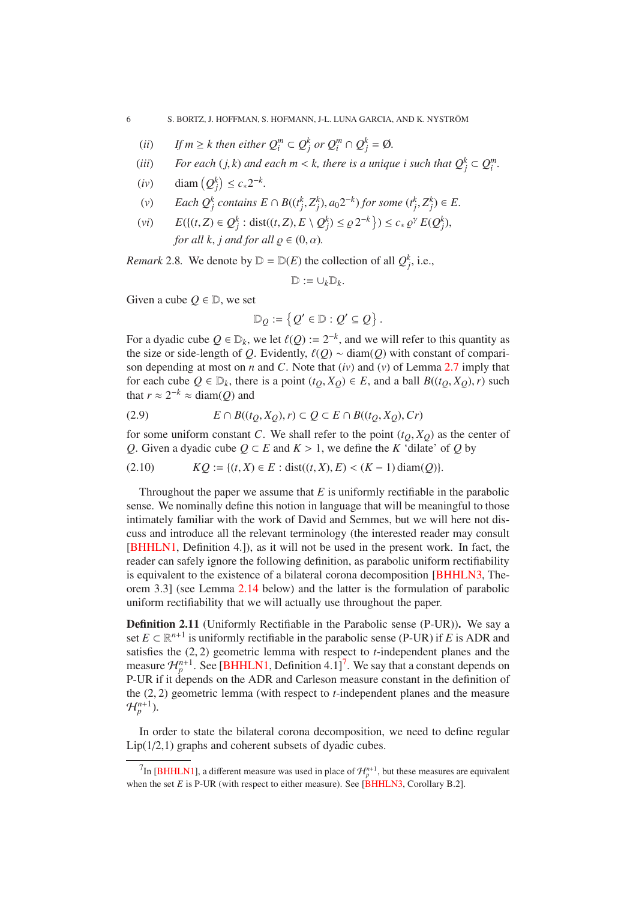- <span id="page-5-1"></span>(*ii*) *If*  $m \geq k$  then either  $Q_i^m \subset Q_j^k$  or  $Q_i^m \cap Q_j^k = \emptyset$ .
- (*iii*) *For each* (*j, k*) *and each*  $m < k$ , *there is a unique i such that*  $Q_j^k \subset Q_i^m$ .
- (*iv*) diam  $(Q_j^k) \le c_* 2^{-k}$ .
- (v) Each  $Q_j^k$  contains  $E \cap B((t_j^k, Z_j^k), a_0 2^{-k})$  for some  $(t_j^k, Z_j^k) \in E$ .
- $E({t, Z) \in Q_j^k : dist((t, Z), E \setminus Q_j^k) \le \varrho 2^{-k}}$ )  $\le c_* \varrho^{\gamma} E(Q_j^k)$ , *for all k, j and for all*  $\rho \in (0, \alpha)$ *.*

*Remark* 2.8. We denote by  $D = D(E)$  the collection of all  $Q_j^k$ , i.e.,

$$
\mathbb{D}:=\cup_k \mathbb{D}_k.
$$

Given a cube  $O \in \mathbb{D}$ , we set

$$
\mathbb{D}_{\mathcal{Q}} \coloneqq \left\{ \mathcal{Q}' \in \mathbb{D} : \mathcal{Q}' \subseteq \mathcal{Q} \right\}.
$$

For a dyadic cube  $Q \in \mathbb{D}_k$ , we let  $\ell(Q) := 2^{-k}$ , and we will refer to this quantity as the size or side-length of *Q*. Evidently,  $\ell(Q) \sim \text{diam}(Q)$  with constant of comparison depending at most on *n* and *C*. Note that (*iv*) and (*v*) of Lemma [2.7](#page-4-1) imply that for each cube  $Q \in D_k$ , there is a point  $(t_O, X_O) \in E$ , and a ball  $B((t_O, X_O), r)$  such that  $r \approx 2^{-k} \approx \text{diam}(Q)$  and

(2.9) 
$$
E \cap B((t_Q, X_Q), r) \subset Q \subset E \cap B((t_Q, X_Q), Cr)
$$

for some uniform constant *C*. We shall refer to the point  $(t<sub>0</sub>, X<sub>0</sub>)$  as the center of *Q*. Given a dyadic cube *Q* ⊂ *E* and  $K > 1$ , we define the *K* 'dilate' of *Q* by

$$
(2.10) \t KQ := \{(t, X) \in E : dist((t, X), E) < (K - 1) \operatorname{diam}(Q)\}.
$$

Throughout the paper we assume that *E* is uniformly rectifiable in the parabolic sense. We nominally define this notion in language that will be meaningful to those intimately familiar with the work of David and Semmes, but we will here not discuss and introduce all the relevant terminology (the interested reader may consult [\[BHHLN1,](#page-26-7) Definition 4.]), as it will not be used in the present work. In fact, the reader can safely ignore the following definition, as parabolic uniform rectifiability is equivalent to the existence of a bilateral corona decomposition [\[BHHLN3,](#page-26-8) Theorem 3.3] (see Lemma [2.14](#page-6-0) below) and the latter is the formulation of parabolic uniform rectifiability that we will actually use throughout the paper.

Definition 2.11 (Uniformly Rectifiable in the Parabolic sense (P-UR)). We say a set  $E \subset \mathbb{R}^{n+1}$  is uniformly rectifiable in the parabolic sense (P-UR) if *E* is ADR and satisfies the (2, 2) geometric lemma with respect to *t*-independent planes and the measure  $\mathcal{H}_{p}^{n+1}$ . See [\[BHHLN1,](#page-26-7) Definition 4.1]<sup>[7](#page-5-0)</sup>. We say that a constant depends on P-UR if it depends on the ADR and Carleson measure constant in the definition of the (2, 2) geometric lemma (with respect to *t*-independent planes and the measure  $\mathcal{H}_{p}^{n+1}$ ).

In order to state the bilateral corona decomposition, we need to define regular Lip(1/2,1) graphs and coherent subsets of dyadic cubes.

<span id="page-5-0"></span><sup>&</sup>lt;sup>7</sup>In [\[BHHLN1\]](#page-26-7), a different measure was used in place of  $\mathcal{H}_p^{n+1}$ , but these measures are equivalent when the set  $E$  is P-UR (with respect to either measure). See [\[BHHLN3,](#page-26-8) Corollary B.2].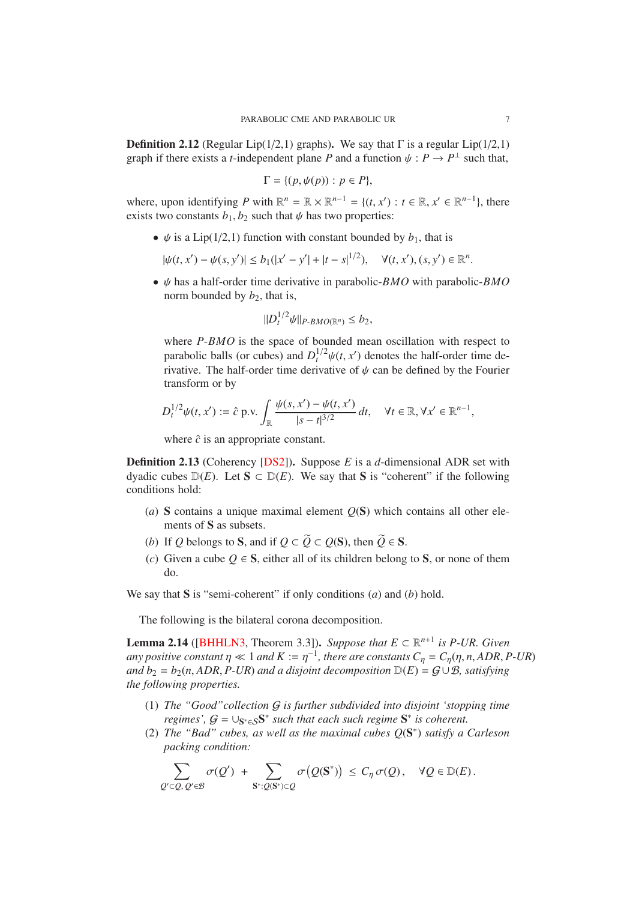<span id="page-6-2"></span>**Definition 2.12** (Regular Lip(1/2,1) graphs). We say that  $\Gamma$  is a regular Lip(1/2,1) graph if there exists a *t*-independent plane *P* and a function  $\psi : P \to P^{\perp}$  such that,

$$
\Gamma = \{ (p, \psi(p)) : p \in P \},\
$$

where, upon identifying  $P$  with  $\mathbb{R}^n = \mathbb{R} \times \mathbb{R}^{n-1} = \{(t, x') : t \in \mathbb{R}, x' \in \mathbb{R}^{n-1}\}\)$ , there exists two constants  $b_1$ ,  $b_2$  such that  $\psi$  has two properties:

•  $\psi$  is a Lip(1/2,1) function with constant bounded by  $b_1$ , that is

$$
|\psi(t, x') - \psi(s, y')| \le b_1(|x' - y'| + |t - s|^{1/2}), \quad \forall (t, x'), (s, y') \in \mathbb{R}^n.
$$

• ψ has a half-order time derivative in parabolic-*BMO* with parabolic-*BMO* norm bounded by  $b_2$ , that is,

$$
||D_t^{1/2}\psi||_{P\text{-}BMO(\mathbb{R}^n)}\leq b_2,
$$

where *P*-*BMO* is the space of bounded mean oscillation with respect to parabolic balls (or cubes) and  $D_t^{1/2}\psi(t, x')$  denotes the half-order time derivative. The half-order time derivative of  $\psi$  can be defined by the Fourier transform or by

$$
D_t^{1/2}\psi(t,x') := \hat{c} \text{ p.v.} \int_{\mathbb{R}} \frac{\psi(s,x') - \psi(t,x')}{|s-t|^{3/2}} dt, \quad \forall t \in \mathbb{R}, \forall x' \in \mathbb{R}^{n-1},
$$

where  $\hat{c}$  is an appropriate constant.

<span id="page-6-1"></span>Definition 2.13 (Coherency [\[DS2\]](#page-26-14)). Suppose *E* is a *d*-dimensional ADR set with dyadic cubes  $D(E)$ . Let  $S \subset D(E)$ . We say that S is "coherent" if the following conditions hold:

- (*a*) S contains a unique maximal element *Q*(S) which contains all other elements of S as subsets.
- (*b*) If *Q* belongs to **S**, and if  $Q \subset \widetilde{Q} \subset Q(\mathbf{S})$ , then  $\widetilde{Q} \in \mathbf{S}$ .
- (*c*) Given a cube  $O \in S$ , either all of its children belong to S, or none of them do.

We say that S is "semi-coherent" if only conditions (*a*) and (*b*) hold.

The following is the bilateral corona decomposition.

<span id="page-6-0"></span>**Lemma 2.14** ([\[BHHLN3,](#page-26-8) Theorem 3.3]). *Suppose that*  $E \subset \mathbb{R}^{n+1}$  is *P-UR. Given any positive constant*  $\eta \ll 1$  *and*  $K := \eta^{-1}$ *, there are constants*  $C_{\eta} = C_{\eta}(\eta, n, ADR, P\text{-}UR)$ *and*  $b_2 = b_2(n, ADR, P-UR)$  *and a disjoint decomposition*  $D(E) = G \cup B$ *, satisfying the following properties.*

- (1) *The "Good"collection* G *is further subdivided into disjoint 'stopping time regimes',*  $G = \bigcup_{S^* \in S} S^*$  *such that each such regime*  $S^*$  *is coherent.*
- (2) *The "Bad" cubes, as well as the maximal cubes Q*(S ∗ ) *satisfy a Carleson packing condition:*

$$
\sum_{Q' \subset Q, \, Q' \in \mathcal{B}} \sigma(Q') + \sum_{\mathbf{S}^* : Q(\mathbf{S}^*) \subset Q} \sigma\big(Q(\mathbf{S}^*)\big) \leq C_\eta \sigma(Q), \quad \forall Q \in \mathbb{D}(E).
$$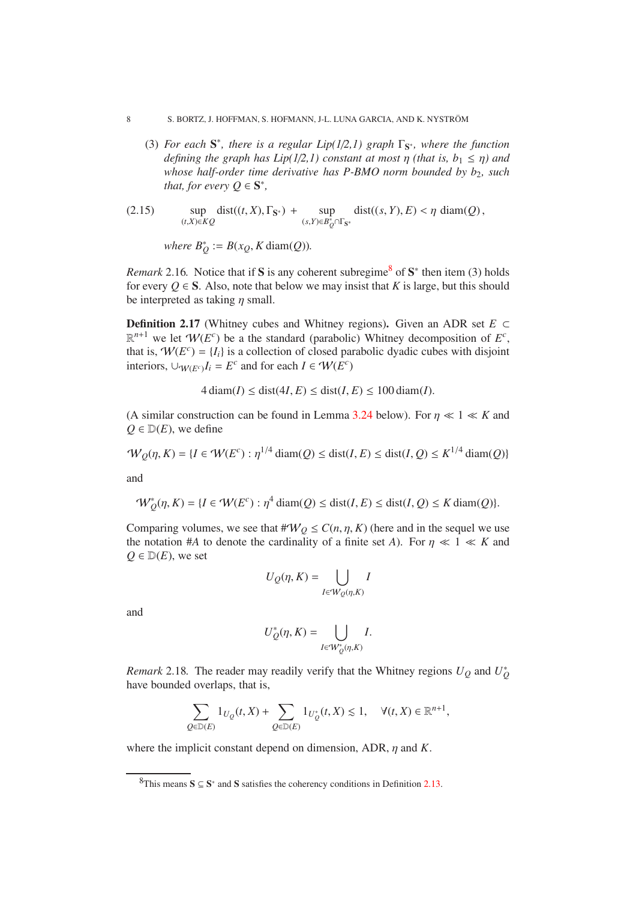- 8 S. BORTZ, J. HOFFMAN, S. HOFMANN, J-L. LUNA GARCIA, AND K. NYSTRÖM
	- (3) *For each*  $S^*$ *, there is a regular Lip(1/2,1) graph*  $\Gamma_{S^*}$ *, where the function defining the graph has Lip*(1/2,1) constant at most  $\eta$  (that is,  $b_1 \leq \eta$ ) and *whose half-order time derivative has P-BMO norm bounded by b<sub>2</sub>, such that, for every*  $Q \in \mathbf{S}^*$ *,*
- (2.15) sup (*t*,*X*)∈*KQ*  $dist((t, X), \Gamma_{\mathbf{S}^*}) + \text{sup}$ (*s*,*Y*)∈*B* ∗ *<sup>Q</sup>*∩Γ<sup>S</sup> ∗  $dist((s, Y), E) < \eta \, \text{diam}(Q)$ ,

*where*  $B_Q^* := B(x_Q, K \operatorname{diam}(Q))$ *.* 

<span id="page-7-1"></span>*Remark* 2.16. Notice that if S is any coherent subregime<sup>[8](#page-7-0)</sup> of  $S^*$  then item (3) holds for every  $Q \in S$ . Also, note that below we may insist that *K* is large, but this should be interpreted as taking  $\eta$  small.

<span id="page-7-2"></span>Definition 2.17 (Whitney cubes and Whitney regions). Given an ADR set *E* ⊂  $\mathbb{R}^{n+1}$  we let  $W(E^c)$  be a the standard (parabolic) Whitney decomposition of  $E^c$ , that is,  $W(E^c) = \{I_i\}$  is a collection of closed parabolic dyadic cubes with disjoint interiors,  $\cup_{W(E^c)} I_i = E^c$  and for each  $I \in W(E^c)$ 

 $4 \text{ diam}(I) \leq \text{dist}(4I, E) \leq \text{dist}(I, E) \leq 100 \text{ diam}(I).$ 

(A similar construction can be found in Lemma [3.24](#page-14-0) below). For  $\eta \ll 1 \ll K$  and  $Q \in D(E)$ , we define

$$
\mathcal{W}_Q(\eta, K) = \{I \in \mathcal{W}(E^c) : \eta^{1/4} \operatorname{diam}(Q) \le \operatorname{dist}(I, E) \le \operatorname{dist}(I, Q) \le K^{1/4} \operatorname{diam}(Q)\}
$$

and

$$
\mathcal{W}_Q^*(\eta, K) = \{I \in \mathcal{W}(E^c) : \eta^4 \operatorname{diam}(Q) \le \operatorname{dist}(I, E) \le \operatorname{dist}(I, Q) \le K \operatorname{diam}(Q)\}.
$$

Comparing volumes, we see that  $\#W_Q \leq C(n, \eta, K)$  (here and in the sequel we use the notation #*A* to denote the cardinality of a finite set *A*). For  $\eta \ll 1 \ll K$  and  $Q \in \mathbb{D}(E)$ , we set

$$
U_Q(\eta, K) = \bigcup_{I \in \mathcal{W}_Q(\eta, K)} I
$$

and

$$
U^*_Q(\eta, K) = \bigcup_{I \in {}'\!W^*_Q(\eta, K)} I.
$$

*Remark* 2.18. The reader may readily verify that the Whitney regions  $U_Q$  and  $U_Q^*$ have bounded overlaps, that is,

$$
\sum_{Q \in \mathbb{D}(E)} 1_{U_Q}(t, X) + \sum_{Q \in \mathbb{D}(E)} 1_{U_Q^*}(t, X) \lesssim 1, \quad \forall (t, X) \in \mathbb{R}^{n+1},
$$

where the implicit constant depend on dimension, ADR, η and *K*.

<span id="page-7-0"></span><sup>&</sup>lt;sup>8</sup>This means  $S \subseteq S^*$  and S satisfies the coherency conditions in Definition [2.13.](#page-6-1)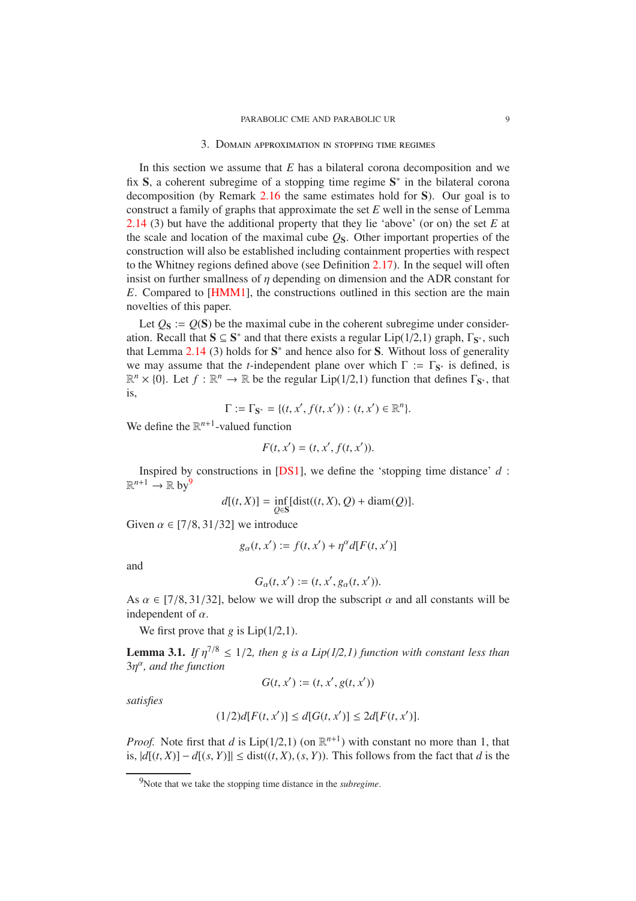#### 3. Domain approximation in stopping time regimes

<span id="page-8-3"></span><span id="page-8-0"></span>In this section we assume that *E* has a bilateral corona decomposition and we fix S, a coherent subregime of a stopping time regime  $S^*$  in the bilateral corona decomposition (by Remark [2.16](#page-7-1) the same estimates hold for  $S$ ). Our goal is to construct a family of graphs that approximate the set *E* well in the sense of Lemma [2.14](#page-6-0) (3) but have the additional property that they lie 'above' (or on) the set *E* at the scale and location of the maximal cube  $\mathcal{Q}_S$ . Other important properties of the construction will also be established including containment properties with respect to the Whitney regions defined above (see Definition [2.17\)](#page-7-2). In the sequel will often insist on further smallness of  $\eta$  depending on dimension and the ADR constant for *E*. Compared to [\[HMM1\]](#page-27-1), the constructions outlined in this section are the main novelties of this paper.

Let  $Q_s$  :=  $O(S)$  be the maximal cube in the coherent subregime under consideration. Recall that  $S \subseteq S^*$  and that there exists a regular Lip(1/2,1) graph,  $\Gamma_{S^*}$ , such that Lemma  $2.14$  (3) holds for  $S^*$  and hence also for S. Without loss of generality we may assume that the *t*-independent plane over which  $\Gamma := \Gamma_{S^*}$  is defined, is  $\mathbb{R}^n \times \{0\}$ . Let  $f : \mathbb{R}^n \to \mathbb{R}$  be the regular Lip(1/2,1) function that defines  $\Gamma_{\mathbf{S}^*}$ , that is,

$$
\Gamma := \Gamma_{\mathbf{S}^*} = \{ (t, x', f(t, x')) : (t, x') \in \mathbb{R}^n \}.
$$

We define the  $\mathbb{R}^{n+1}$ -valued function

$$
F(t, x') = (t, x', f(t, x')).
$$

Inspired by constructions in [\[DS1\]](#page-26-13), we define the 'stopping time distance' *d* :  $\mathbb{R}^{n+1} \to \mathbb{R}$  by  $9$ 

$$
d[(t, X)] = \inf_{Q \in S} [\text{dist}((t, X), Q) + \text{diam}(Q)].
$$

Given  $\alpha \in [7/8, 31/32]$  we introduce

$$
g_{\alpha}(t, x') := f(t, x') + \eta^{\alpha} d[F(t, x')]
$$

and

$$
G_{\alpha}(t, x') := (t, x', g_{\alpha}(t, x')).
$$

As  $\alpha \in [7/8, 31/32]$ , below we will drop the subscript  $\alpha$  and all constants will be independent of  $\alpha$ .

We first prove that  $g$  is  $Lip(1/2,1)$ .

<span id="page-8-2"></span>**Lemma 3.1.** *If*  $\eta^{7/8} \leq 1/2$ , *then g is a Lip*( $1/2,1$ ) *function with constant less than*  $3\eta^{\alpha}$ , and the function

$$
G(t, x') := (t, x', g(t, x'))
$$

*satisfies*

$$
(1/2)d[F(t, x')] \le d[G(t, x')] \le 2d[F(t, x')].
$$

*Proof.* Note first that *d* is  $Lip(1/2,1)$  (on  $\mathbb{R}^{n+1}$ ) with constant no more than 1, that is, |*d*[(*t*, *X*)] − *d*[(*s*, *Y*)]| ≤ dist((*t*, *X*), (*s*, *Y*)). This follows from the fact that *d* is the

<span id="page-8-1"></span><sup>9</sup>Note that we take the stopping time distance in the *subregime*.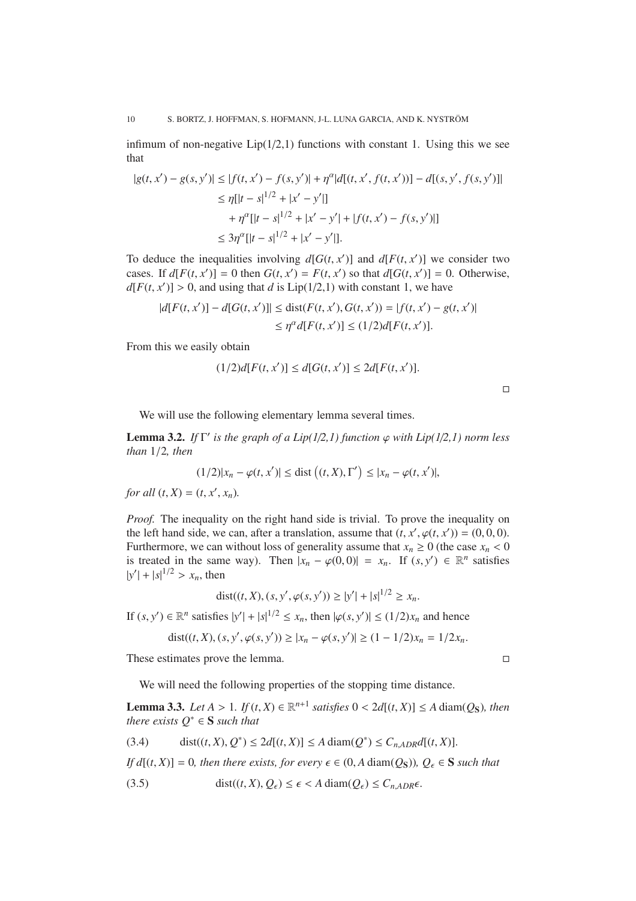infimum of non-negative  $Lip(1/2,1)$  functions with constant 1. Using this we see that

$$
|g(t, x') - g(s, y')| \le |f(t, x') - f(s, y')| + \eta^{\alpha}|d[(t, x', f(t, x'))] - d[(s, y', f(s, y')]]
$$
  
\n
$$
\le \eta[|t - s|^{1/2} + |x' - y'|]
$$
  
\n
$$
+ \eta^{\alpha}[|t - s|^{1/2} + |x' - y'| + |f(t, x') - f(s, y')|]
$$
  
\n
$$
\le 3\eta^{\alpha}[|t - s|^{1/2} + |x' - y'|].
$$

To deduce the inequalities involving  $d[G(t, x')]$  and  $d[F(t, x')]$  we consider two cases. If  $d[F(t, x')] = 0$  then  $G(t, x') = F(t, x')$  so that  $d[G(t, x')] = 0$ . Otherwise,  $d[F(t, x')] > 0$ , and using that *d* is Lip(1/2,1) with constant 1, we have

$$
|d[F(t, x')] - d[G(t, x')]| \leq \text{dist}(F(t, x'), G(t, x')) = |f(t, x') - g(t, x')|
$$
  

$$
\leq \eta^{\alpha} d[F(t, x')] \leq (1/2) d[F(t, x')].
$$

From this we easily obtain

$$
(1/2)d[F(t, x')] \le d[G(t, x')] \le 2d[F(t, x')].
$$

|  | ___ |  |
|--|-----|--|
|  |     |  |
|  |     |  |

We will use the following elementary lemma several times.

<span id="page-9-2"></span>**Lemma 3.2.** *If*  $\Gamma'$  *is the graph of a Lip*(1/2,1) *function*  $\varphi$  *with Lip*(1/2,1) *norm less than* 1/2*, then*

$$
(1/2)|x_n - \varphi(t, x')| \le \text{dist}\left((t, X), \Gamma'\right) \le |x_n - \varphi(t, x')|,
$$

*for all*  $(t, X) = (t, x', x_n)$ *.* 

*Proof.* The inequality on the right hand side is trivial. To prove the inequality on the left hand side, we can, after a translation, assume that  $(t, x', \varphi(t, x')) = (0, 0, 0)$ . Furthermore, we can without loss of generality assume that  $x_n \ge 0$  (the case  $x_n < 0$ ) is treated in the same way). Then  $|x_n - \varphi(0,0)| = x_n$ . If  $(s, y') \in \mathbb{R}^n$  satisfies  $|y'| + |s|^{1/2} > x_n$ , then

dist
$$
((t, X), (s, y', \varphi(s, y')) \ge |y'| + |s|^{1/2} \ge x_n
$$
.

If  $(s, y') \in \mathbb{R}^n$  satisfies  $|y'| + |s|^{1/2} \le x_n$ , then  $|\varphi(s, y')| \le (1/2)x_n$  and hence

$$
dist((t, X), (s, y', \varphi(s, y')) \ge |x_n - \varphi(s, y')| \ge (1 - 1/2)x_n = 1/2x_n.
$$

These estimates prove the lemma.

We will need the following properties of the stopping time distance.

<span id="page-9-3"></span>**Lemma 3.3.** *Let*  $A > 1$ *. If*  $(t, X) \in \mathbb{R}^{n+1}$  *satisfies*  $0 < 2d[(t, X)] \leq A \operatorname{diam}(Q_S)$ *, then there exists*  $Q^* \in \mathbf{S}$  *such that* 

<span id="page-9-0"></span>
$$
(3.4) \qquad \operatorname{dist}((t, X), Q^*) \le 2d[(t, X)] \le A \operatorname{diam}(Q^*) \le C_{n, ADR}d[(t, X)].
$$

*If d*[(*t*, *X*)] = 0*, then there exists, for every*  $\epsilon \in (0, A \text{ diam}(Q_S))$ *,*  $Q_{\epsilon} \in S$  *such that* 

<span id="page-9-1"></span>(3.5) 
$$
\text{dist}((t, X), Q_{\epsilon}) \leq \epsilon < A \text{ diam}(Q_{\epsilon}) \leq C_{n, ADR} \epsilon.
$$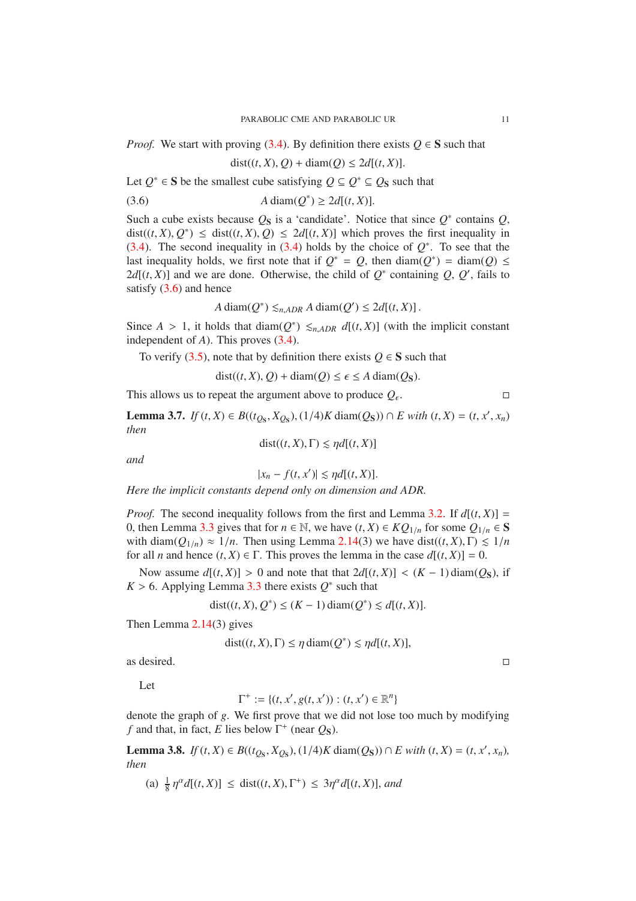*Proof.* We start with proving [\(3.4\)](#page-9-0). By definition there exists  $Q \in S$  such that

<span id="page-10-0"></span>
$$
dist((t, X), Q) + diam(Q) \le 2d[(t, X)].
$$

Let  $Q^* \in S$  be the smallest cube satisfying  $Q \subseteq Q^* \subseteq Q_S$  such that

$$
(3.6) \t A diam(Q^*) \ge 2d[(t, X)].
$$

Such a cube exists because  $Q_S$  is a 'candidate'. Notice that since  $Q^*$  contains  $Q$ ,  $dist((t, X), Q^*) \leq dist((t, X), Q) \leq 2d[(t, X)]$  which proves the first inequality in [\(3.4\)](#page-9-0). The second inequality in (3.4) holds by the choice of  $Q^*$ . To see that the last inequality holds, we first note that if  $Q^* = Q$ , then diam( $Q^*$ ) = diam( $Q$ ) ≤  $2d[(t, X)]$  and we are done. Otherwise, the child of  $Q^*$  containing  $Q$ ,  $Q'$ , fails to satisfy  $(3.6)$  and hence

$$
A \operatorname{diam}(Q^*) \leq_{n, ADR} A \operatorname{diam}(Q') \leq 2d[(t, X)].
$$

Since  $A > 1$ , it holds that diam( $Q^*$ )  $\leq_{n, ADR} d[(t, X)]$  (with the implicit constant independent of *A*). This proves [\(3.4\)](#page-9-0).

To verify [\(3.5\)](#page-9-1), note that by definition there exists  $Q \in S$  such that

 $dist((t, X), Q) + diam(Q) \le \epsilon \le A \text{ diam}(Q_S).$ 

This allows us to repeat the argument above to produce  $Q_{\epsilon}$ . . — Первый проста проста проста проста проста проста проста проста проста проста проста проста проста проста п<br>Село в село в село в село в село в село в село в село в село в село в село в село в село в село в село в село

<span id="page-10-1"></span>**Lemma 3.7.** *If* (*t*, *X*) ∈ *B*((*t*<sub>*Q*S</sub></sub>, *X*<sub>*Q*S</sub>), (1/4)*K* diam(*Q*<sub>S</sub>)) ∩ *E with* (*t*, *X*) = (*t*, *x*<sup>*'*</sup>, *x<sub>n</sub>*) *then*

 $dist((t, X), \Gamma) \leq \eta d[(t, X)]$ 

*and*

$$
|x_n - f(t, x')| \lesssim \eta d[(t, X)].
$$

*Here the implicit constants depend only on dimension and ADR.*

*Proof.* The second inequality follows from the first and Lemma [3.2.](#page-9-2) If  $d[(t, X)] =$ 0, then Lemma [3.3](#page-9-3) gives that for  $n \in \mathbb{N}$ , we have  $(t, X) \in KQ_{1/n}$  for some  $Q_{1/n} \in S$ with diam( $Q_{1/n}$ )  $\approx 1/n$ . Then using Lemma [2.14\(](#page-6-0)3) we have dist((*t*, *X*),  $\Gamma$ )  $\leq 1/n$ for all *n* and hence  $(t, X) \in \Gamma$ . This proves the lemma in the case  $d[(t, X)] = 0$ .

Now assume  $d[(t, X)] > 0$  and note that that  $2d[(t, X)] < (K - 1)$  diam( $O<sub>S</sub>$ ), if  $K > 6$ . Applying Lemma [3.3](#page-9-3) there exists  $Q^*$  such that

$$
dist((t, X), Q^*) \le (K - 1) diam(Q^*) \le d[(t, X)].
$$

Then Lemma [2.14\(](#page-6-0)3) gives

$$
dist((t, X), \Gamma) \le \eta \operatorname{diam}(Q^*) \lesssim \eta d[(t, X)],
$$

as desired.

Let

$$
\Gamma^+ := \{ (t, x', g(t, x')) : (t, x') \in \mathbb{R}^n \}
$$

denote the graph of *g*. We first prove that we did not lose too much by modifying *f* and that, in fact, *E* lies below  $\Gamma^+$  (near  $Q_S$ ).

<span id="page-10-2"></span>**Lemma 3.8.** *If* (*t*, *X*) ∈ *B*((*t*<sub>QS</sub>, *X*<sub>QS</sub>), (1/4)*K* diam( $Q$ S)) ∩ *E* with (*t*, *X*) = (*t*, *x'*, *x<sub>n</sub>*), *then*

(a) 
$$
\frac{1}{8} \eta^{\alpha} d[(t, X)] \leq \text{dist}((t, X), \Gamma^+) \leq 3\eta^{\alpha} d[(t, X)],
$$
 and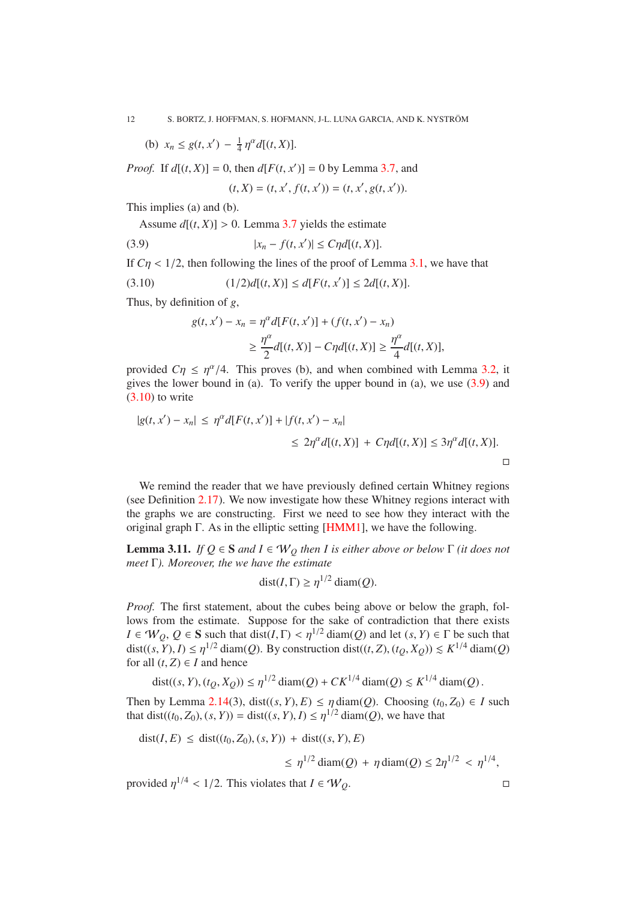<span id="page-11-3"></span>(b)  $x_n \leq g(t, x') - \frac{1}{4}$  $\frac{1}{4} \eta^{\alpha} d[(t, X)].$ 

*Proof.* If  $d[(t, X)] = 0$ , then  $d[F(t, x')] = 0$  by Lemma [3.7,](#page-10-1) and

<span id="page-11-0"></span> $(t, X) = (t, x', f(t, x')) = (t, x', g(t, x')).$ 

This implies (a) and (b).

Assume  $d[(t, X)] > 0$ . Lemma [3.7](#page-10-1) yields the estimate

(3.9) 
$$
|x_n - f(t, x')| \le C \eta d[(t, X)].
$$

If  $C\eta$  < 1/2, then following the lines of the proof of Lemma [3.1,](#page-8-2) we have that

$$
(3.10) \qquad (1/2)d[(t, X)] \le d[F(t, x')] \le 2d[(t, X)].
$$

Thus, by definition of *g*,

<span id="page-11-1"></span>
$$
g(t, x') - x_n = \eta^{\alpha} d[F(t, x')] + (f(t, x') - x_n)
$$
  
 
$$
\geq \frac{\eta^{\alpha}}{2} d[(t, X)] - C\eta d[(t, X)] \geq \frac{\eta^{\alpha}}{4} d[(t, X)],
$$

provided  $C\eta \leq \eta^{\alpha}/4$ . This proves (b), and when combined with Lemma [3.2,](#page-9-2) it gives the lower bound in (a). To verify the upper bound in (a), we use  $(3.9)$  and  $(3.10)$  to write

$$
|g(t, x') - x_n| \le \eta^{\alpha} d[F(t, x')] + |f(t, x') - x_n|
$$
  

$$
\le 2\eta^{\alpha} d[(t, X)] + C\eta d[(t, X)] \le 3\eta^{\alpha} d[(t, X)].
$$

We remind the reader that we have previously defined certain Whitney regions (see Definition [2.17\)](#page-7-2). We now investigate how these Whitney regions interact with the graphs we are constructing. First we need to see how they interact with the original graph Γ. As in the elliptic setting [\[HMM1\]](#page-27-1), we have the following.

<span id="page-11-2"></span>**Lemma 3.11.** *If*  $Q \in S$  *and*  $I \in W_Q$  *then I is either above or below*  $\Gamma$  *(it does not meet* Γ*). Moreover, the we have the estimate*

$$
dist(I, \Gamma) \ge \eta^{1/2} \operatorname{diam}(Q).
$$

*Proof.* The first statement, about the cubes being above or below the graph, follows from the estimate. Suppose for the sake of contradiction that there exists  $I \in W_0, Q \in S$  such that dist(*I*,  $\Gamma$ ) <  $\eta^{1/2}$  diam(*Q*) and let  $(s, Y) \in \Gamma$  be such that  $\text{dist}((s, Y), I) \leq \eta^{1/2} \text{diam}(Q)$ . By construction  $\text{dist}((t, Z), (t_Q, X_Q)) \leq K^{1/4} \text{diam}(Q)$ . for all  $(t, Z) \in I$  and hence

dist
$$
((s, Y), (t_Q, X_Q)) \le \eta^{1/2} \operatorname{diam}(Q) + C K^{1/4} \operatorname{diam}(Q) \le K^{1/4} \operatorname{diam}(Q).
$$

Then by Lemma [2.14\(](#page-6-0)3), dist( $(s, Y), E$ )  $\leq \eta \operatorname{diam}(Q)$ . Choosing  $(t_0, Z_0) \in I$  such that dist((*t*<sub>0</sub>, *Z*<sub>0</sub>), (*s*, *Y*)) = dist((*s*, *Y*), *I*)  $\leq \eta^{1/2}$  diam(*Q*), we have that

 $dist(I, E) \leq dist((t_0, Z_0), (s, Y)) + dist((s, Y), E)$ 

$$
\leq \eta^{1/2} \operatorname{diam}(Q) + \eta \operatorname{diam}(Q) \leq 2\eta^{1/2} < \eta^{1/4},
$$

provided  $\eta^{1/4}$  < 1/2. This violates that  $I \in W_Q$ .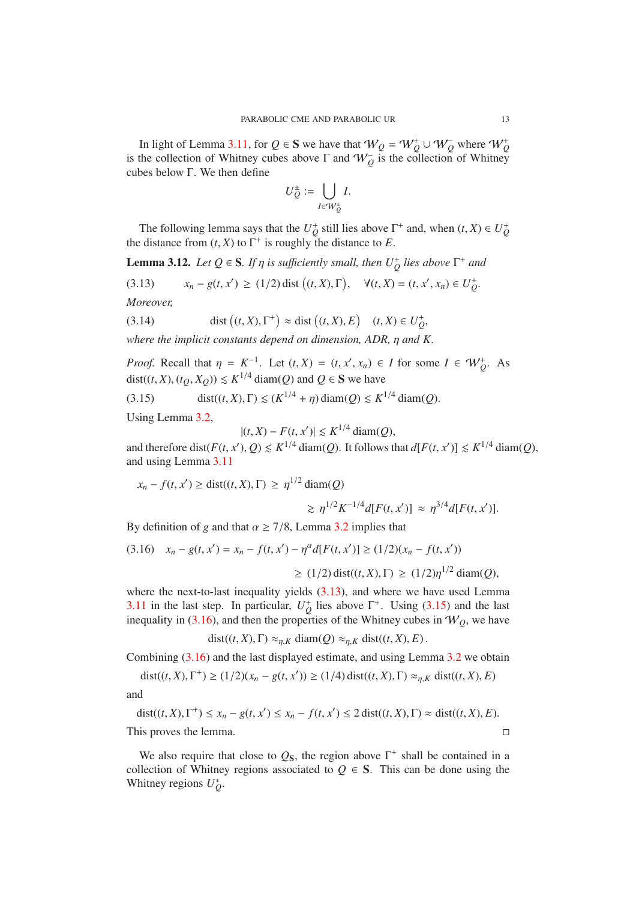In light of Lemma [3.11,](#page-11-2) for  $Q \in S$  we have that  $W_Q = W_Q^+ \cup W_Q^-$  where  $W_Q^+$ is the collection of Whitney cubes above  $\Gamma$  and  $W_Q^-$  is the collection of Whitney cubes below Γ. We then define

$$
U_Q^{\pm} := \bigcup_{I \in W_Q^{\pm}} I.
$$

The following lemma says that the  $U_Q^+$  still lies above  $\Gamma^+$  and, when  $(t, X) \in U_Q^+$ the distance from  $(t, X)$  to  $\Gamma^+$  is roughly the distance to *E*.

<span id="page-12-3"></span>**Lemma 3.12.** *Let*  $Q \in S$ *. If*  $\eta$  *is sufficiently small, then*  $U_Q^+$  *lies above*  $\Gamma^+$  *and* 

<span id="page-12-0"></span>(3.13)  $x_n - g(t, x') \ge (1/2) \text{dist}((t, X), \Gamma), \quad \forall (t, X) = (t, x', x_n) \in U_Q^+$ . *Moreover,*

(3.14) dist 
$$
(t, X)
$$
,  $\Gamma^+$   $\approx$  dist  $((t, X), E)$   $(t, X) \in U_Q^+$ ,

*where the implicit constants depend on dimension, ADR,* η *and K.*

*Proof.* Recall that  $\eta = K^{-1}$ . Let  $(t, X) = (t, x', x_n) \in I$  for some  $I \in W_Q^+$ . As dist((*t*, *X*), (*t*<sub>Q</sub>, *X*<sub>Q</sub>))  $\le K^{1/4}$  diam(*Q*) and  $Q \in S$  we have

(3.15) 
$$
\text{dist}((t, X), \Gamma) \le (K^{1/4} + \eta) \text{diam}(Q) \le K^{1/4} \text{diam}(Q).
$$

Using Lemma [3.2,](#page-9-2)

<span id="page-12-1"></span>
$$
|(t, X) - F(t, x')| \leq K^{1/4} \operatorname{diam}(Q),
$$

and therefore dist( $F(t, x')$ ,  $Q$ )  $\le K^{1/4}$  diam( $Q$ ). It follows that  $d[F(t, x')] \le K^{1/4}$  diam( $Q$ ), and using Lemma [3.11](#page-11-2)

$$
x_n - f(t, x') \ge \text{dist}((t, X), \Gamma) \ge \eta^{1/2} \text{diam}(Q)
$$
  

$$
\ge \eta^{1/2} K^{-1/4} d[F(t, x')] \approx \eta^{3/4} d[F(t, x')].
$$

By definition of *g* and that  $\alpha \geq \frac{7}{8}$ , Lemma [3.2](#page-9-2) implies that

<span id="page-12-2"></span>
$$
(3.16) \quad x_n - g(t, x') = x_n - f(t, x') - \eta^{\alpha} d[F(t, x')] \ge (1/2)(x_n - f(t, x'))
$$

$$
\ge (1/2) \operatorname{dist}((t, X), \Gamma) \ge (1/2)\eta^{1/2} \operatorname{diam}(Q),
$$

where the next-to-last inequality yields  $(3.13)$ , and where we have used Lemma [3.11](#page-11-2) in the last step. In particular,  $U_Q^+$  lies above  $\Gamma^+$ . Using [\(3.15\)](#page-12-1) and the last inequality in [\(3.16\)](#page-12-2), and then the properties of the Whitney cubes in  $W_Q$ , we have

dist
$$
((t, X), \Gamma) \approx_{\eta, K} \text{diam}(Q) \approx_{\eta, K} \text{dist}((t, X), E)
$$
.

Combining [\(3.16\)](#page-12-2) and the last displayed estimate, and using Lemma [3.2](#page-9-2) we obtain

dist((*t*, *X*),  $\Gamma^+$ )  $\geq (1/2)(x_n - g(t, x')) \geq (1/4) \text{dist}((t, X), \Gamma) \approx_{\eta, K} \text{dist}((t, X), E)$ and

$$
dist((t, X), \Gamma^+) \le x_n - g(t, x') \le x_n - f(t, x') \le 2 \text{ dist}((t, X), \Gamma) \approx dist((t, X), E).
$$
  
This proves the lemma.

We also require that close to  $Q_S$ , the region above  $\Gamma^+$  shall be contained in a collection of Whitney regions associated to  $Q \in S$ . This can be done using the Whitney regions  $U_Q^*$ .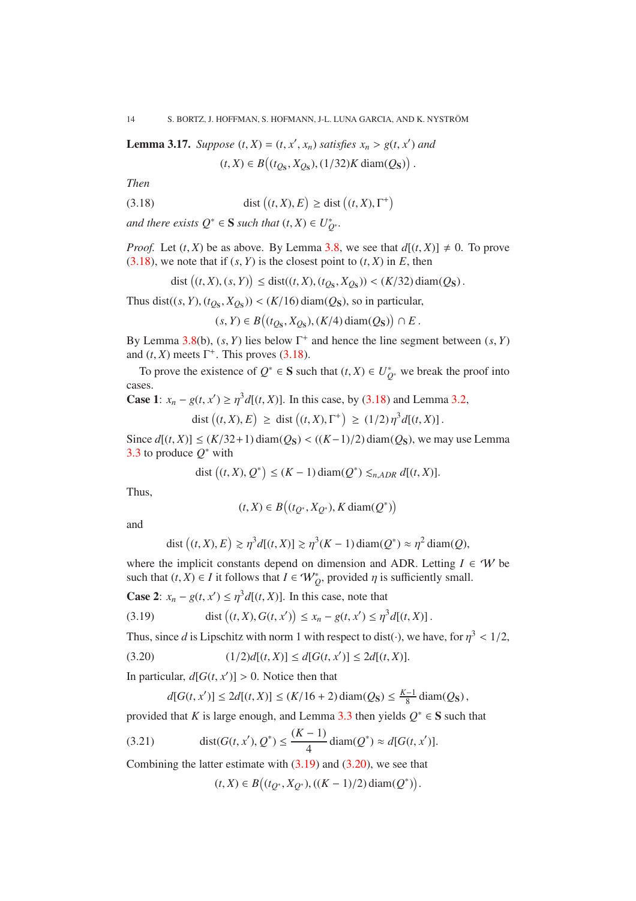<span id="page-13-4"></span>**Lemma 3.17.** *Suppose*  $(t, X) = (t, x', x_n)$  *satisfies*  $x_n > g(t, x')$  *and* 

<span id="page-13-0"></span>
$$
(t, X) \in B\big((t_{Q_\mathbf{S}}, X_{Q_\mathbf{S}}), (1/32)K \operatorname{diam}(Q_\mathbf{S})\big)
$$

.

*Then*

(3.18) 
$$
\operatorname{dist}((t, X), E) \ge \operatorname{dist}((t, X), \Gamma^+)
$$

*and there exists*  $Q^* \in \mathbf{S}$  *such that*  $(t, X) \in U_{Q^*}^*$ .

*Proof.* Let  $(t, X)$  be as above. By Lemma [3.8,](#page-10-2) we see that  $d[(t, X)] \neq 0$ . To prove [\(3.18\)](#page-13-0), we note that if  $(s, Y)$  is the closest point to  $(t, X)$  in  $E$ , then

dist 
$$
((t, X), (s, Y)) \leq dist((t, X), (t_{Q_s}, X_{Q_s})) < (K/32) diam(Q_s).
$$

Thus dist((*s*, *Y*), ( $t_{Q_s}$ ,  $X_{Q_s}$ )) < (*K*/16) diam( $Q_s$ ), so in particular,

$$
(s,Y)\in B\bigl((t_{Q_\mathbf{S}},X_{Q_\mathbf{S}}),(K/4)\operatorname{diam}(Q_\mathbf{S})\bigr)\cap E\,.
$$

By Lemma [3.8\(](#page-10-2)b),  $(s, Y)$  lies below  $\Gamma^+$  and hence the line segment between  $(s, Y)$ and  $(t, X)$  meets  $\Gamma^+$ . This proves [\(3.18\)](#page-13-0).

To prove the existence of  $Q^* \in \mathbf{S}$  such that  $(t, X) \in U^*_{Q^*}$  we break the proof into cases.

**Case 1**:  $x_n - g(t, x') \ge \eta^3 d[(t, X)]$ . In this case, by [\(3.18\)](#page-13-0) and Lemma [3.2,](#page-9-2)

$$
\text{dist}\left((t, X), E\right) \geq \text{dist}\left((t, X), \Gamma^+\right) \geq (1/2) \eta^3 d[(t, X)].
$$

Since  $d[(t, X)]$  ≤  $(K/32+1)$  diam $(Q<sub>S</sub>)$  <  $((K−1)/2)$  diam $(Q<sub>S</sub>)$ , we may use Lemma [3.3](#page-9-3) to produce  $Q^*$  with

$$
\text{dist}\left((t, X), Q^*\right) \le (K - 1) \text{diam}(Q^*) \lesssim_{n, ADR} d[(t, X)].
$$

Thus,

$$
(t, X) \in B\big((t_{Q^*}, X_{Q^*}), K \operatorname{diam}(Q^*)\big)
$$

and

dist 
$$
((t, X), E) \ge \eta^3 d[(t, X)] \ge \eta^3 (K - 1) diam(Q^*) \approx \eta^2 diam(Q),
$$

where the implicit constants depend on dimension and ADR. Letting  $I \in W$  be such that  $(t, X) \in I$  it follows that  $I \in W_Q^*$ , provided  $\eta$  is sufficiently small.

**Case 2:**  $x_n - g(t, x') \leq \eta^3 d[(t, X)]$ . In this case, note that

<span id="page-13-1"></span>(3.19) 
$$
\text{dist}\left((t, X), G(t, x')\right) \leq x_n - g(t, x') \leq \eta^3 d[(t, X)].
$$

Thus, since *d* is Lipschitz with norm 1 with respect to dist( $\cdot$ ), we have, for  $\eta^3 < 1/2$ ,

$$
(3.20) \t(1/2)d[(t,X)] \le d[G(t,x')] \le 2d[(t,X)].
$$

In particular,  $d[G(t, x')] > 0$ . Notice then that

<span id="page-13-2"></span>
$$
d[G(t, x')] \le 2d[(t, X)] \le (K/16 + 2)\operatorname{diam}(Q_S) \le \frac{K-1}{8}\operatorname{diam}(Q_S),
$$

provided that *K* is large enough, and Lemma [3.3](#page-9-3) then yields  $Q^* \in S$  such that

(3.21) 
$$
\text{dist}(G(t, x'), Q^*) \le \frac{(K-1)}{4} \text{diam}(Q^*) \approx d[G(t, x')].
$$

Combining the latter estimate with  $(3.19)$  and  $(3.20)$ , we see that

<span id="page-13-3"></span>
$$
(t,X)\in B\big((t_{Q^*},X_{Q^*}),((K-1)/2)\,\text{diam}(Q^*)\big).
$$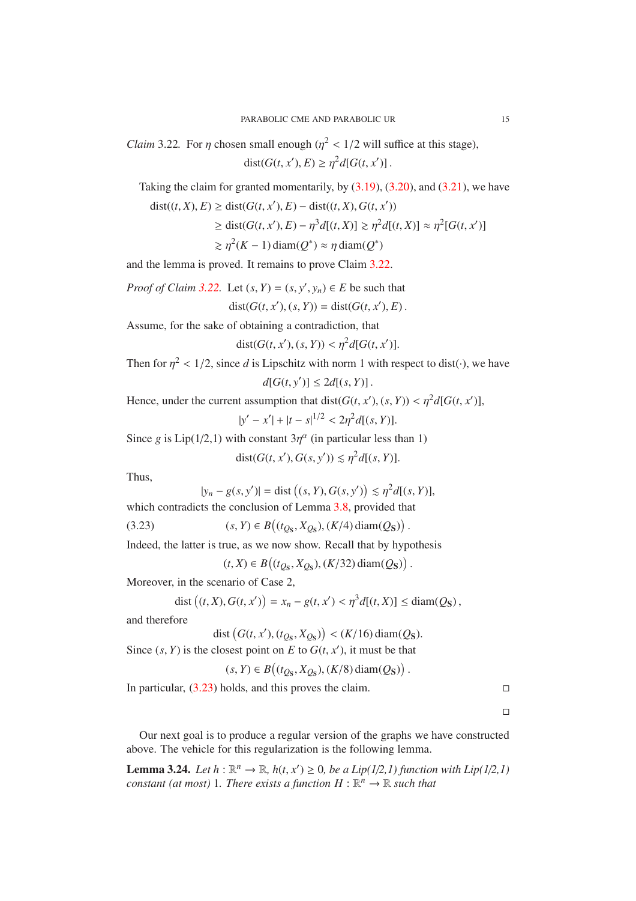<span id="page-14-1"></span>*Claim* 3.22. For  $\eta$  chosen small enough  $(\eta^2 < 1/2)$  will suffice at this stage),  $dist(G(t, x'), E) \geq \eta^2 d[G(t, x')]$ .

Taking the claim for granted momentarily, by  $(3.19)$ ,  $(3.20)$ , and  $(3.21)$ , we have

dist((*t*, *X*), *E*) ≥ dist(*G*(*t*, *x*<sup>'</sup>), *E*) − dist((*t*, *X*), *G*(*t*, *x*<sup>'</sup>))

$$
\geq \text{dist}(G(t, x'), E) - \eta^3 d[(t, X)] \geq \eta^2 d[(t, X)] \approx \eta^2 [G(t, x')]
$$

$$
\gtrsim \eta^2(K-1)\operatorname{diam}(Q^*) \approx \eta \operatorname{diam}(Q^*)
$$

and the lemma is proved. It remains to prove Claim [3.22.](#page-14-1)

*Proof of Claim 3.22.* Let 
$$
(s, Y) = (s, y', y_n) \in E
$$
 be such that

 $dist(G(t, x'), (s, Y)) = dist(G(t, x'), E)$ .

Assume, for the sake of obtaining a contradiction, that

$$
dist(G(t, x'), (s, Y)) < \eta^2 d[G(t, x')].
$$

Then for  $\eta^2$  < 1/2, since *d* is Lipschitz with norm 1 with respect to dist( $\cdot$ ), we have  $d[G(t, y')] \leq 2d[(s, Y)].$ 

Hence, under the current assumption that 
$$
dist(G(t, x'), (s, Y)) < \eta^2 d[G(t, x')]
$$
,

$$
|y'-x'|+|t-s|^{1/2}<2\eta^2d[(s,Y)].
$$

Since *g* is  $Lip(1/2,1)$  with constant  $3\eta^{\alpha}$  (in particular less than 1)

$$
dist(G(t, x'), G(s, y')) \lesssim \eta^2 d[(s, Y)].
$$

Thus,

$$
|y_n - g(s, y')| =
$$
dist  $((s, Y), G(s, y')) \leq \eta^2 d[(s, Y)],$ 

.

which contradicts the conclusion of Lemma [3.8,](#page-10-2) provided that

(3.23) 
$$
(s, Y) \in B((t_{Qs}, X_{Qs}), (K/4) \text{diam}(Qs))
$$

Indeed, the latter is true, as we now show. Recall that by hypothesis

<span id="page-14-2"></span> $(t, X)$  ∈  $B((t_{Qs}, X_{Qs}), (K/32)$  diam $(Q<sub>S</sub>)$ ).

Moreover, in the scenario of Case 2,

dist 
$$
((t, X), G(t, x')) = x_n - g(t, x') < \eta^3 d[(t, X)] \leq diam(Q_S)
$$
,

and therefore

$$
dist(G(t, x'), (t_{Qs}, X_{Qs})) < (K/16) \operatorname{diam}(Qs).
$$

Since  $(s, Y)$  is the closest point on *E* to  $G(t, x')$ , it must be that

 $(s, Y) \in B((t_{Qs}, X_{Qs}), (K/8) \text{ diam}(Qs)).$ 

In particular,  $(3.23)$  holds, and this proves the claim.

 $\Box$ 

Our next goal is to produce a regular version of the graphs we have constructed above. The vehicle for this regularization is the following lemma.

<span id="page-14-0"></span>**Lemma 3.24.** *Let*  $h : \mathbb{R}^n \to \mathbb{R}$ *,*  $h(t, x') \ge 0$ *, be a Lip(1/2,1) function with Lip(1/2,1) constant (at most)* 1. There exists a function  $H : \mathbb{R}^n \to \mathbb{R}$  such that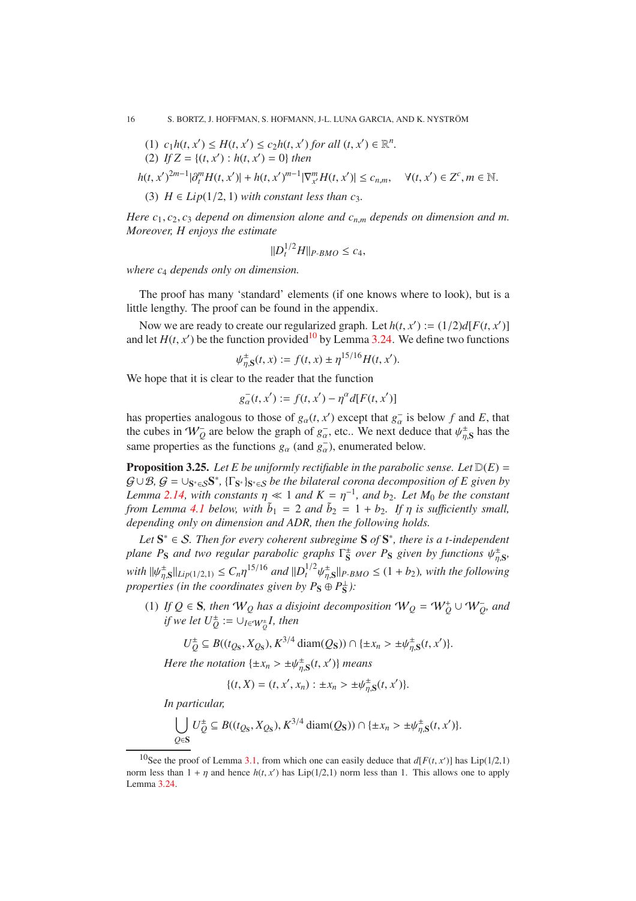- (1)  $c_1h(t, x') \leq H(t, x') \leq c_2h(t, x')$  *for all*  $(t, x') \in \mathbb{R}^n$ .
- (2) *If*  $Z = \{(t, x') : h(t, x') = 0\}$  *then*

$$
h(t, x')^{2m-1}|\partial_t^m H(t, x')| + h(t, x')^{m-1}|\nabla_{x'}^m H(t, x')| \le c_{n,m}, \quad \forall (t, x') \in Z^c, m \in \mathbb{N}.
$$

(3)  $H \in Lip(1/2, 1)$  *with constant less than c*<sub>3</sub>*.* 

*Here c*1, *c*2, *c*<sup>3</sup> *depend on dimension alone and cn*,*<sup>m</sup> depends on dimension and m. Moreover, H enjoys the estimate*

$$
||D_t^{1/2}H||_{P\text{-}BMO} \le c_4,
$$

*where c*<sup>4</sup> *depends only on dimension.*

The proof has many 'standard' elements (if one knows where to look), but is a little lengthy. The proof can be found in the appendix.

Now we are ready to create our regularized graph. Let  $h(t, x') := (1/2)d[F(t, x')]$ and let  $H(t, x')$  be the function provided<sup>[10](#page-15-1)</sup> by Lemma [3.24.](#page-14-0) We define two functions

$$
\psi_{\eta, \mathbf{S}}^{\pm}(t, x) := f(t, x) \pm \eta^{15/16} H(t, x').
$$

We hope that it is clear to the reader that the function

$$
g_{\alpha}^-(t,x') := f(t,x') - \eta^{\alpha}d[F(t,x')]
$$

has properties analogous to those of  $g_{\alpha}(t, x')$  except that  $g_{\alpha}^-$  is below f and E, that the cubes in  $W_Q^-$  are below the graph of  $g_\alpha^-$ , etc.. We next deduce that  $\psi_{\eta,S}^{\pm}$  has the same properties as the functions  $g_\alpha$  (and  $g_\alpha^-$ ), enumerated below.

<span id="page-15-0"></span>**Proposition 3.25.** Let E be uniformly rectifiable in the parabolic sense. Let  $D(E)$  =  $G \cup \mathcal{B}, G = \cup_{S^* \in S} S^*, \{\Gamma_{S^*}\}_{S^* \in S}$  *be the bilateral corona decomposition of E given by Lemma* [2.14,](#page-6-0) with constants  $\eta \ll 1$  *and*  $K = \eta^{-1}$ , *and*  $b_2$ *. Let*  $M_0$  *be the constant from Lemma [4.1](#page-17-1) below, with*  $\tilde{b}_1 = 2$  *and*  $\tilde{b}_2 = 1 + b_2$ . If  $\eta$  is sufficiently small, *depending only on dimension and ADR, then the following holds.*

*Let* S <sup>∗</sup> ∈ S*. Then for every coherent subregime* S *of* S ∗ *, there is a t-independent plane P<sub>S</sub>* and two regular parabolic graphs  $\Gamma_S^{\pm}$  over P<sub>S</sub> given by functions  $\psi_{\eta,S}^{\pm}$ ,  $with \|\psi_{\eta,S}^{\pm}\|_{Lip(1/2,1)} \leq C_n \eta^{15/16} \text{ and } \|D_t^{1/2} \psi_{\eta,S}^{\pm}\|_{P-BMO} \leq (1+b_2)$ *, with the following properties (in the coordinates given by*  $P_S \oplus P_S^{\perp}$ *):* 

(1) *If*  $Q \in S$ *, then*  $W_Q$  *has a disjoint decomposition*  $W_Q = W_Q^+ \cup W_Q^-$ *, and if we let*  $U_Q^{\pm} := \cup_{I \in \mathcal{W}_Q^{\pm}} I$ *, then* 

$$
U_{Q}^{\pm} \subseteq B((t_{Q_{\rm S}}, X_{Q_{\rm S}}), K^{3/4} \operatorname{diam}(Q_{\rm S})) \cap \{\pm x_n > \pm \psi_{\eta, \rm S}^{\pm}(t, x')\}.
$$

*Here the notation*  $\{\pm x_n > \pm \psi_{\eta, S}^{\pm}(t, x')\}$  *means* 

$$
\{(t, X) = (t, x', x_n) : \pm x_n > \pm \psi_{\eta, S}^{\pm}(t, x')\}.
$$

*In particular,*

$$
\bigcup_{Q\in\mathbf{S}} U^{\pm}_Q \subseteq B((t_{Q_\mathbf{S}}, X_{Q_\mathbf{S}}), K^{3/4} \operatorname{diam}(Q_\mathbf{S})) \cap \{\pm x_n > \pm \psi_{\eta,\mathbf{S}}^{\pm}(t, x')\}.
$$

<span id="page-15-1"></span><sup>&</sup>lt;sup>10</sup>See the proof of Lemma [3.1,](#page-8-2) from which one can easily deduce that  $d[F(t, x')]$  has Lip(1/2,1) norm less than  $1 + \eta$  and hence  $h(t, x')$  has Lip(1/2,1) norm less than 1. This allows one to apply Lemma [3.24.](#page-14-0)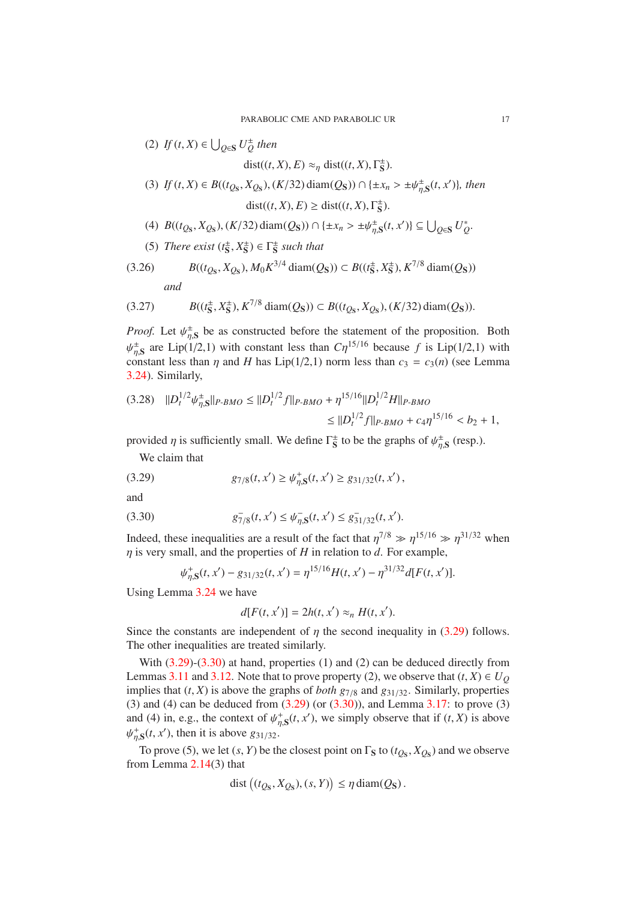(2) *If* (*t*, *X*) ∈  $\bigcup_{Q \in \mathbf{S}} U_Q^{\pm}$  *then* 

dist((*t*, *X*), *E*)  $\approx_{\eta}$  dist((*t*, *X*),  $\Gamma_{\mathbf{S}}^{\pm}$ ).

(3) *If*  $(t, X) \in B((t_{Q_s}, X_{Q_s}), (K/32) \text{ diam}(Q_s)) \cap {\{\pm x_n > \pm \psi_{\eta, S}^{\pm}(t, x')\}},\text{ then}$ 

 $dist((t, X), E) \geq dist((t, X), \Gamma_{\mathbf{S}}^{\pm}).$ 

- (4)  $B((t_{Q_s}, X_{Q_s}), (K/32) \text{ diam}(Q_s)) \cap {\{\pm x_n > \pm \psi_{\eta, S}^{\pm}(t, x')\}} \subseteq \bigcup_{Q \in S} U_Q^*$ .
- <span id="page-16-2"></span>(5) *There exist*  $(t^{\pm}_{S}, X^{\pm}_{S}) \in \Gamma_{S}^{\pm}$  *such that*

(3.26) 
$$
B((t_{Q_S}, X_{Q_S}), M_0 K^{3/4} \operatorname{diam}(Q_S)) \subset B((t_S^{\pm}, X_S^{\pm}), K^{7/8} \operatorname{diam}(Q_S))
$$
  
and

<span id="page-16-3"></span>
$$
(3.27) \tB((t_S^{\pm}, X_S^{\pm}), K^{7/8} \operatorname{diam}(Q_S)) \subset B((t_{Q_S}, X_{Q_S}), (K/32) \operatorname{diam}(Q_S)).
$$

*Proof.* Let  $\psi_{\eta, S}^{\pm}$  be as constructed before the statement of the proposition. Both  $\psi_{\eta,S}^{\pm}$  are Lip(1/2,1) with constant less than  $C\eta^{15/16}$  because f is Lip(1/2,1) with constant less than  $\eta$  and *H* has Lip(1/2,1) norm less than  $c_3 = c_3(n)$  (see Lemma [3.24\)](#page-14-0). Similarly,

$$
(3.28) \quad ||D_t^{1/2} \psi_{\eta, \mathbf{S}}^+||_{P\text{-}BMO} \le ||D_t^{1/2} f||_{P\text{-}BMO} + \eta^{15/16} ||D_t^{1/2} H||_{P\text{-}BMO}
$$
  

$$
\le ||D_t^{1/2} f||_{P\text{-}BMO} + c_4 \eta^{15/16} < b_2 + 1,
$$

provided  $\eta$  is sufficiently small. We define  $\Gamma_S^{\pm}$  to be the graphs of  $\psi_{\eta,S}^{\pm}$  (resp.).

<span id="page-16-0"></span>We claim that

(3.29) 
$$
g_{7/8}(t, x') \ge \psi_{\eta, S}^+(t, x') \ge g_{31/32}(t, x'),
$$

and

$$
(3.30) \t\t\t g_{7/8}^-(t, x') \le \psi_{\eta, \mathbf{S}}^-(t, x') \le g_{31/32}^-(t, x').
$$

Indeed, these inequalities are a result of the fact that  $\eta^{7/8} \gg \eta^{15/16} \gg \eta^{31/32}$  when η is very small, and the properties of *H* in relation to *d*. For example,

<span id="page-16-1"></span>
$$
\psi_{\eta,S}^+(t,x') - g_{31/32}(t,x') = \eta^{15/16} H(t,x') - \eta^{31/32} d[F(t,x')].
$$

Using Lemma [3.24](#page-14-0) we have

$$
d[F(t, x')] = 2h(t, x') \approx_n H(t, x').
$$

Since the constants are independent of  $\eta$  the second inequality in [\(3.29\)](#page-16-0) follows. The other inequalities are treated similarly.

With [\(3.29\)](#page-16-0)-[\(3.30\)](#page-16-1) at hand, properties (1) and (2) can be deduced directly from Lemmas [3.11](#page-11-2) and [3.12.](#page-12-3) Note that to prove property (2), we observe that  $(t, X) \in U_Q$ implies that  $(t, X)$  is above the graphs of *both g*<sub>7/8</sub> and  $g_{31/32}$ . Similarly, properties (3) and (4) can be deduced from  $(3.29)$  (or  $(3.30)$ ), and Lemma [3.17:](#page-13-4) to prove (3) and (4) in, e.g., the context of  $\psi_{\eta,S}^+(t, x')$ , we simply observe that if  $(t, X)$  is above  $\psi_{\eta, S}^+(t, x')$ , then it is above  $g_{31/32}$ .

To prove (5), we let  $(s, Y)$  be the closest point on  $\Gamma_S$  to  $(t_{Q_S}, X_{Q_S})$  and we observe from Lemma [2.14\(](#page-6-0)3) that

$$
\text{dist}\left((t_{Q_\mathbf{S}}, X_{Q_\mathbf{S}}), (s, Y)\right) \le \eta \, \text{diam}(Q_\mathbf{S}).
$$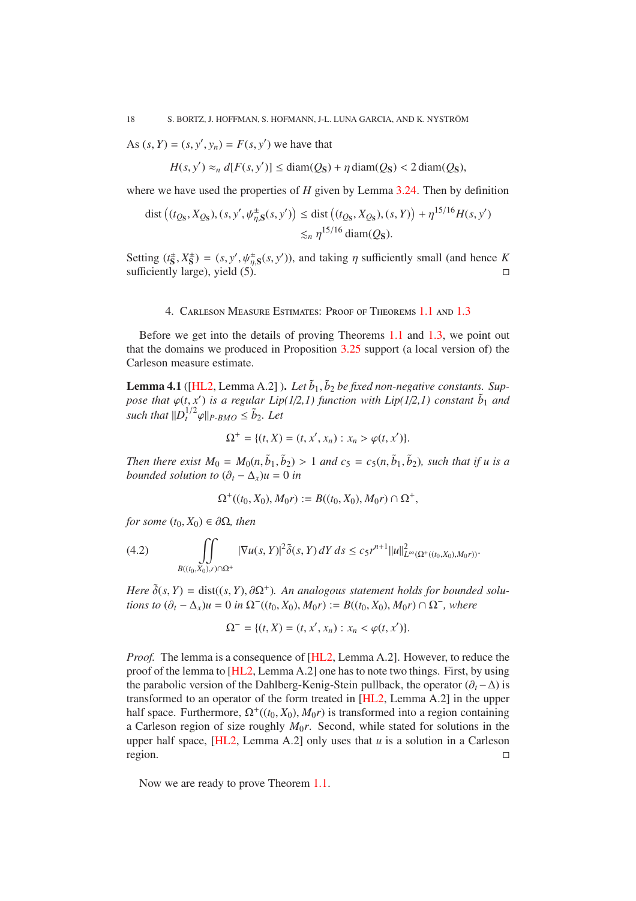<span id="page-17-2"></span>As  $(s, Y) = (s, y', y_n) = F(s, y')$  we have that

$$
H(s, y') \approx_n d[F(s, y')] \le \text{diam}(Q_S) + \eta \cdot \text{diam}(Q_S) < 2 \cdot \text{diam}(Q_S),
$$

where we have used the properties of *H* given by Lemma [3.24.](#page-14-0) Then by definition

dist 
$$
((t_{Q_s}, X_{Q_s}), (s, y', \psi_{\eta, S}^+(s, y')) \leq \text{dist } ((t_{Q_s}, X_{Q_s}), (s, Y)) + \eta^{15/16} H(s, y') \leq_n \eta^{15/16} \text{diam}(Q_s).
$$

<span id="page-17-0"></span>Setting  $(t_S^{\pm}, X_S^{\pm}) = (s, y', \psi_{\eta, S}^{\pm}(s, y'))$ , and taking  $\eta$  sufficiently small (and hence *K* sufficiently large), yield  $(5)$ .

## 4. Carleson Measure Estimates: Proof of Theorems [1.1](#page-1-0) and [1.3](#page-1-1)

Before we get into the details of proving Theorems [1.1](#page-1-0) and [1.3,](#page-1-1) we point out that the domains we produced in Proposition [3.25](#page-15-0) support (a local version of) the Carleson measure estimate.

<span id="page-17-1"></span>**Lemma 4.1** ([\[HL2,](#page-27-7) Lemma A.2]). Let  $\tilde{b}_1$ ,  $\tilde{b}_2$  be fixed non-negative constants. Sup*pose that*  $\varphi(t, x')$  *is a regular Lip*(1/2,1) *function with Lip*(1/2,1) *constant*  $\tilde{b}_1$  *and such that*  $||D_t^{1/2}\varphi||_{P\text{-}BMO} \leq \tilde{b}_2$ . Let

$$
\Omega^+ = \{ (t, X) = (t, x', x_n) : x_n > \varphi(t, x') \}.
$$

*Then there exist*  $M_0 = M_0(n, \tilde{b}_1, \tilde{b}_2) > 1$  *and*  $c_5 = c_5(n, \tilde{b}_1, \tilde{b}_2)$ *, such that if u is a bounded solution to*  $(\partial_t - \Delta_x)u = 0$  *in* 

$$
\Omega^+((t_0, X_0), M_0 r) := B((t_0, X_0), M_0 r) \cap \Omega^+,
$$

*for some*  $(t_0, X_0) \in \partial\Omega$ *, then* 

(4.2) 
$$
\iint_{B((t_0,X_0),r)\cap\Omega^+} |\nabla u(s,Y)|^2 \tilde{\delta}(s,Y) dY ds \le c_5 r^{n+1} ||u||^2_{L^{\infty}(\Omega^+((t_0,X_0),M_0r))}.
$$

*Here*  $\tilde{\delta}(s, Y) = \text{dist}((s, Y), \partial \Omega^+)$ . An analogous statement holds for bounded solu*tions to*  $(\partial_t - \Delta_x)u = 0$  *in*  $\Omega^-(t_0, X_0), M_0r) := B((t_0, X_0), M_0r) \cap \Omega^-$ , where

$$
\Omega^- = \{ (t, X) = (t, x', x_n) : x_n < \varphi(t, x') \}.
$$

*Proof.* The lemma is a consequence of [\[HL2,](#page-27-7) Lemma A.2]. However, to reduce the proof of the lemma to [\[HL2,](#page-27-7) Lemma A.2] one has to note two things. First, by using the parabolic version of the Dahlberg-Kenig-Stein pullback, the operator  $(\partial_t - \Delta)$  is transformed to an operator of the form treated in [\[HL2,](#page-27-7) Lemma A.2] in the upper half space. Furthermore,  $\Omega^+((t_0, X_0), M_0 r)$  is transformed into a region containing a Carleson region of size roughly  $M_0r$ . Second, while stated for solutions in the upper half space, [\[HL2,](#page-27-7) Lemma A.2] only uses that *u* is a solution in a Carleson region.

Now we are ready to prove Theorem [1.1.](#page-1-0)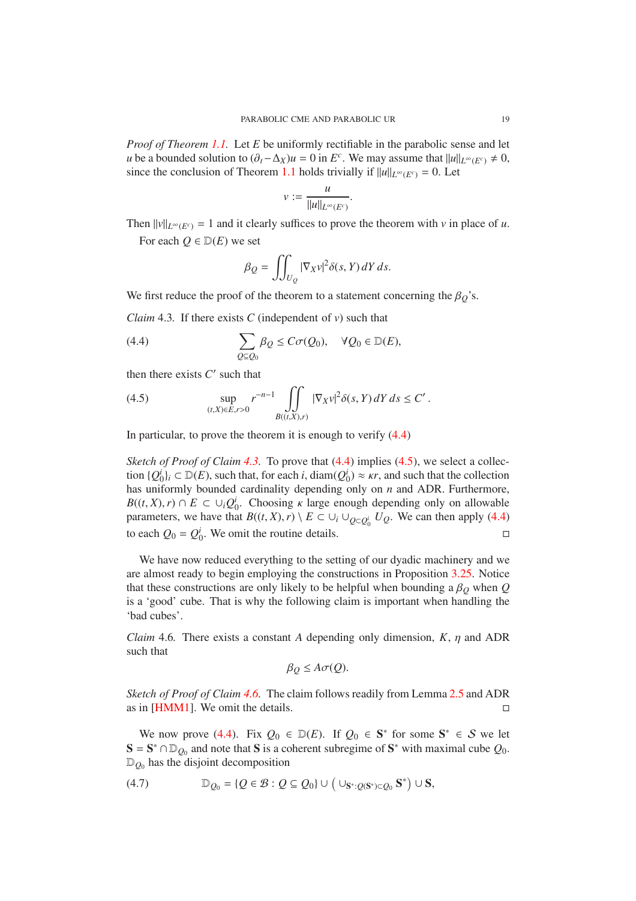<span id="page-18-5"></span>*Proof of Theorem [1.1.](#page-1-0)* Let *E* be uniformly rectifiable in the parabolic sense and let *u* be a bounded solution to  $(\partial_t - \Delta_X)u = 0$  in  $E^c$ . We may assume that  $||u||_{L^\infty(E^c)} \neq 0$ , since the conclusion of Theorem [1.1](#page-1-0) holds trivially if  $||u||_{L^{\infty}(E^c)} = 0$ . Let

$$
v:=\frac{u}{\|u\|_{L^\infty(E^c)}}.
$$

Then  $||v||_{L^{\infty}(E^c)} = 1$  and it clearly suffices to prove the theorem with *v* in place of *u*.

For each  $O \in D(E)$  we set

<span id="page-18-0"></span>
$$
\beta_Q = \iint_{U_Q} |\nabla_X v|^2 \delta(s, Y) \, dY \, ds.
$$

We first reduce the proof of the theorem to a statement concerning the  $\beta_Q$ 's.

<span id="page-18-1"></span>*Claim* 4.3*.* If there exists *C* (independent of *v*) such that

(4.4) 
$$
\sum_{Q \subseteq Q_0} \beta_Q \leq C \sigma(Q_0), \quad \forall Q_0 \in \mathbb{D}(E),
$$

then there exists  $C'$  such that

<span id="page-18-2"></span>(4.5) 
$$
\sup_{(t,X)\in E, r>0} r^{-n-1} \iint_{B((t,X),r)} |\nabla_X v|^2 \delta(s,Y) dY ds \le C'.
$$

In particular, to prove the theorem it is enough to verify [\(4.4\)](#page-18-0)

*Sketch of Proof of Claim* [4.3.](#page-18-1) To prove that [\(4.4\)](#page-18-0) implies [\(4.5\)](#page-18-2), we select a collection  $\{Q_0^i\}_i \subset \mathbb{D}(E)$ , such that, for each *i*, diam( $Q_0^i$ )  $\approx \kappa r$ , and such that the collection has uniformly bounded cardinality depending only on *n* and ADR. Furthermore,  $B((t, X), r) \cap E \subset \cup_i Q_0^i$ . Choosing  $\kappa$  large enough depending only on allowable parameters, we have that  $B((t, X), r) \setminus E \subset \cup_i \cup_{Q \subset Q_0^i} U_Q$ . We can then apply [\(4.4\)](#page-18-0) to each  $Q_0 = Q_0^i$ . We omit the routine details.

We have now reduced everything to the setting of our dyadic machinery and we are almost ready to begin employing the constructions in Proposition [3.25.](#page-15-0) Notice that these constructions are only likely to be helpful when bounding a  $\beta$ <sub>O</sub> when  $Q$ is a 'good' cube. That is why the following claim is important when handling the 'bad cubes'.

<span id="page-18-3"></span>*Claim* 4.6. There exists a constant *A* depending only dimension,  $K$ ,  $\eta$  and ADR such that

$$
\beta_Q \le A\sigma(Q).
$$

*Sketch of Proof of Claim [4.6.](#page-18-3)* The claim follows readily from Lemma [2.5](#page-4-2) and ADR as in [\[HMM1\]](#page-27-1). We omit the details.

We now prove [\(4.4\)](#page-18-0). Fix  $Q_0 \in D(E)$ . If  $Q_0 \in S^*$  for some  $S^* \in S$  we let  $S = S^* \cap D_{Q_0}$  and note that S is a coherent subregime of S<sup>\*</sup> with maximal cube  $Q_0$ .  $\mathbb{D}_{Q_0}$  has the disjoint decomposition

<span id="page-18-4"></span>(4.7) 
$$
\mathbb{D}_{Q_0} = \{Q \in \mathcal{B} : Q \subseteq Q_0\} \cup (\cup_{\mathbf{S}^* : Q(\mathbf{S}^*) \subset Q_0} \mathbf{S}^*) \cup \mathbf{S},
$$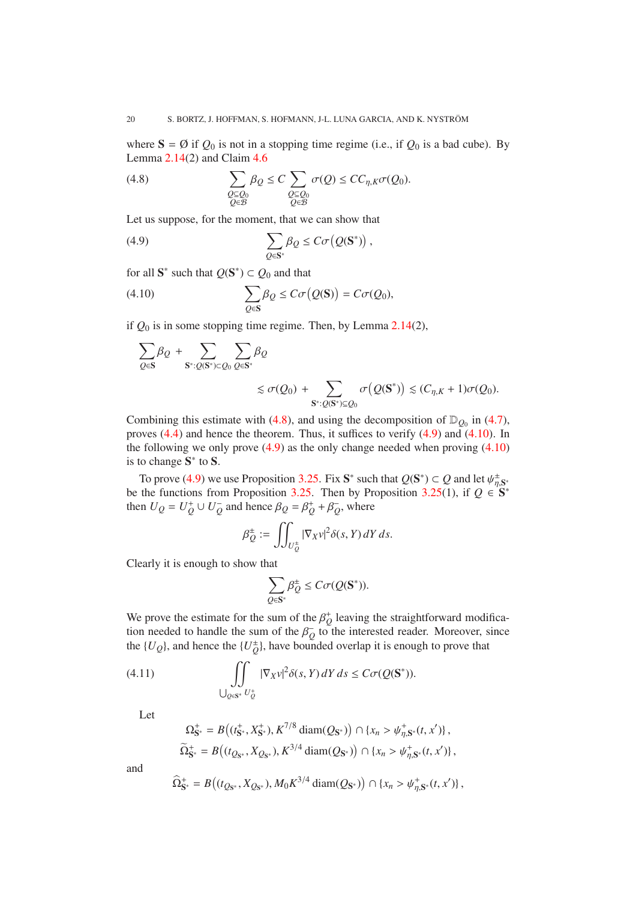where  $S = \emptyset$  if  $Q_0$  is not in a stopping time regime (i.e., if  $Q_0$  is a bad cube). By Lemma  $2.14(2)$  $2.14(2)$  and Claim  $4.6$ 

<span id="page-19-0"></span>(4.8) 
$$
\sum_{\substack{Q \subseteq Q_0 \\ Q \in \mathcal{B}}} \beta_Q \leq C \sum_{\substack{Q \subseteq Q_0 \\ Q \in \mathcal{B}}} \sigma(Q) \leq C C_{\eta,K} \sigma(Q_0).
$$

Let us suppose, for the moment, that we can show that

<span id="page-19-1"></span>(4.9) 
$$
\sum_{Q\in\mathbf{S}^*} \beta_Q \leq C\sigma\big(Q(\mathbf{S}^*)\big) \,,
$$

for all  $S^*$  such that  $Q(S^*) \subset Q_0$  and that

(4.10) 
$$
\sum_{Q \in \mathbf{S}} \beta_Q \leq C \sigma(Q(\mathbf{S})) = C \sigma(Q_0),
$$

if *Q*<sup>0</sup> is in some stopping time regime. Then, by Lemma [2.14\(](#page-6-0)2),

<span id="page-19-2"></span>
$$
\sum_{Q \in \mathbf{S}} \beta_Q + \sum_{\mathbf{S}^* : Q(\mathbf{S}^*) \subset Q_0} \sum_{Q \in \mathbf{S}^*} \beta_Q
$$
  
\$\lesssim \sigma(Q\_0) + \sum\_{\mathbf{S}^\* : Q(\mathbf{S}^\*) \subseteq Q\_0} \sigma(Q(\mathbf{S}^\*)) \lesssim (C\_{\eta,K} + 1)\sigma(Q\_0).

Combining this estimate with [\(4.8\)](#page-19-0), and using the decomposition of  $\mathbb{D}_{Q_0}$  in [\(4.7\)](#page-18-4), proves [\(4.4\)](#page-18-0) and hence the theorem. Thus, it suffices to verify [\(4.9\)](#page-19-1) and [\(4.10\)](#page-19-2). In the following we only prove  $(4.9)$  as the only change needed when proving  $(4.10)$ is to change  $S^*$  to  $S$ .

To prove [\(4.9\)](#page-19-1) we use Proposition [3.25.](#page-15-0) Fix  $S^*$  such that  $Q(S^*) \subset Q$  and let  $\psi_{\eta, S^*}^{\pm}$ be the functions from Proposition [3.25.](#page-15-0) Then by Proposition [3.25\(](#page-15-0)1), if  $Q \in S^*$ then  $U_Q = U_Q^+ \cup U_Q^-$  and hence  $\beta_Q = \beta_Q^+ + \beta_Q^-$ , where

$$
\beta_{Q}^{\pm} := \iint_{U_{Q}^{\pm}} |\nabla_{X} v|^{2} \delta(s, Y) dY ds.
$$

Clearly it is enough to show that

$$
\sum_{Q\in \mathbf{S}^*}\beta^{\pm}_Q\leq C\sigma(Q(\mathbf{S}^*)).
$$

We prove the estimate for the sum of the  $\beta_Q^+$  leaving the straightforward modification needed to handle the sum of the  $\beta_Q^-$  to the interested reader. Moreover, since the  $\{U_Q\}$ , and hence the  $\{U_Q^{\pm}\}$ , have bounded overlap it is enough to prove that

(4.11) 
$$
\iint_{Q \in \mathbb{S}^*} |\nabla_X v|^2 \delta(s, Y) dY ds \leq C\sigma(Q(\mathbf{S}^*)).
$$

Let

<span id="page-19-3"></span>
$$
\Omega_{\mathbf{S}^*}^+ = B\big((t_{\mathbf{S}^*}^+, X_{\mathbf{S}^*}^+), K^{7/8} \operatorname{diam}(Q_{\mathbf{S}^*})\big) \cap \{x_n > \psi_{\eta, \mathbf{S}^*}^+(t, x')\},\
$$
  

$$
\widetilde{\Omega}_{\mathbf{S}^*}^+ = B\big((t_{Q_{\mathbf{S}^*}}, X_{Q_{\mathbf{S}^*}}), K^{3/4} \operatorname{diam}(Q_{\mathbf{S}^*})\big) \cap \{x_n > \psi_{\eta, \mathbf{S}^*}^+(t, x')\},
$$

and

$$
\widehat{\Omega}^+_{\mathbf{S}^*} = B((t_{Q_{\mathbf{S}^*}}, X_{Q_{\mathbf{S}^*}}), M_0 K^{3/4} \operatorname{diam}(Q_{\mathbf{S}^*})) \cap \{x_n > \psi_{\eta, \mathbf{S}^*}^+(t, x')\},\
$$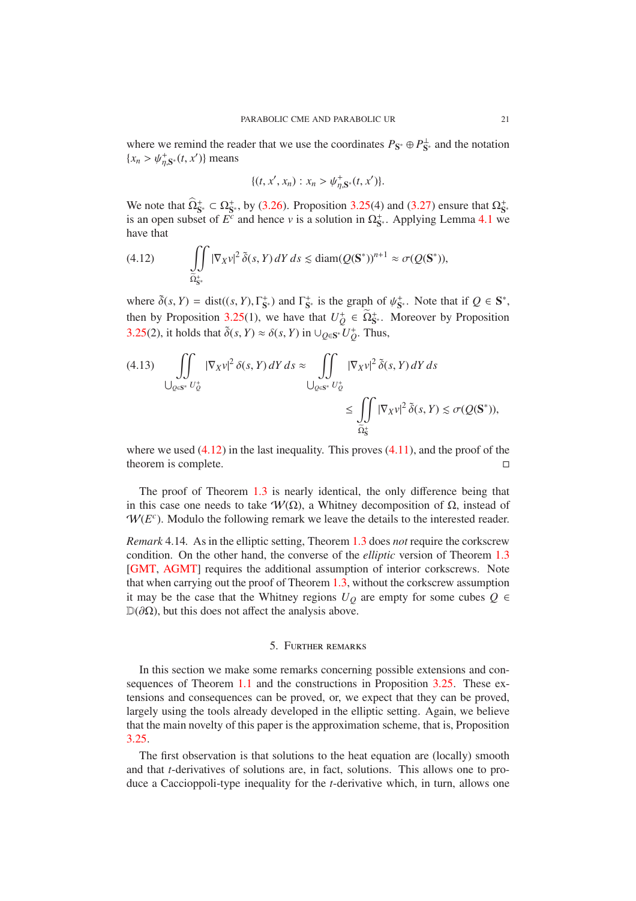<span id="page-20-2"></span>where we remind the reader that we use the coordinates  $P_{S^*} \oplus P_{S^*}^{\perp}$  and the notation  ${x_n > \psi_{\eta, S^*}^+(t, x')}$  means

$$
\{(t, x', x_n) : x_n > \psi_{\eta, \mathbf{S}^*}^+(t, x')\}.
$$

We note that  $\hat{\Omega}_{\mathbf{S}^*}^+ \subset \Omega_{\mathbf{S}^*}^+$ , by [\(3.26\)](#page-16-2). Proposition [3.25\(](#page-15-0)4) and [\(3.27\)](#page-16-3) ensure that  $\Omega_{\mathbf{S}^*}^+$  is an open subset of  $E^c$  and hence *v* is a solution in  $\Omega_{\mathbf{S}^*}^+$ . Applying Lemma [4.1](#page-17-1) we have that

<span id="page-20-1"></span>(4.12) 
$$
\iint\limits_{\widetilde{\Omega}^*_{\mathsf{S}^*}} |\nabla_X v|^2 \, \widetilde{\delta}(s, Y) \, dY \, ds \lesssim \operatorname{diam}(Q(\mathbf{S}^*))^{n+1} \approx \sigma(Q(\mathbf{S}^*)),
$$

where  $\tilde{\delta}(s, Y) = \text{dist}((s, Y), \Gamma_{\mathbf{S}^*}^+)$  and  $\Gamma_{\mathbf{S}^*}^+$  is the graph of  $\psi_{\mathbf{S}^*}^+$ . Note that if  $Q \in \mathbf{S}^*$ , then by Proposition [3.25\(](#page-15-0)1), we have that  $U^+_Q \in \widetilde{\Omega}^*_{S^*}$ . Moreover by Proposition [3.25\(](#page-15-0)2), it holds that  $\tilde{\delta}(s, Y) \approx \delta(s, Y)$  in  $\cup_{Q \in \mathbf{S}^*} U_Q^+$ . Thus,

$$
(4.13) \iint\limits_{\bigcup_{Q\in\mathbb{S}^*} U_Q^+} |\nabla_X v|^2 \, \delta(s, Y) \, dY \, ds \approx \iint\limits_{\bigcup_{Q\in\mathbb{S}^*} U_Q^+} |\nabla_X v|^2 \, \tilde{\delta}(s, Y) \, dY \, ds \le \iint\limits_{\widetilde{\Omega}_S^+} |\nabla_X v|^2 \, \tilde{\delta}(s, Y) \lesssim \sigma(Q(\mathbf{S}^*)),
$$

where we used  $(4.12)$  in the last inequality. This proves  $(4.11)$ , and the proof of the theorem is complete.

The proof of Theorem [1.3](#page-1-1) is nearly identical, the only difference being that in this case one needs to take  $W(\Omega)$ , a Whitney decomposition of  $\Omega$ , instead of  $W(E<sup>c</sup>)$ . Modulo the following remark we leave the details to the interested reader.

*Remark* 4.14*.* As in the elliptic setting, Theorem [1.3](#page-1-1) does *not* require the corkscrew condition. On the other hand, the converse of the *elliptic* version of Theorem [1.3](#page-1-1) [\[GMT,](#page-27-0) [AGMT\]](#page-26-10) requires the additional assumption of interior corkscrews. Note that when carrying out the proof of Theorem [1.3,](#page-1-1) without the corkscrew assumption it may be the case that the Whitney regions  $U_Q$  are empty for some cubes  $Q \in$  $\mathbb{D}(\partial \Omega)$ , but this does not affect the analysis above.

### 5. Further remarks

<span id="page-20-0"></span>In this section we make some remarks concerning possible extensions and consequences of Theorem [1.1](#page-1-0) and the constructions in Proposition [3.25.](#page-15-0) These extensions and consequences can be proved, or, we expect that they can be proved, largely using the tools already developed in the elliptic setting. Again, we believe that the main novelty of this paper is the approximation scheme, that is, Proposition [3.25.](#page-15-0)

The first observation is that solutions to the heat equation are (locally) smooth and that *t*-derivatives of solutions are, in fact, solutions. This allows one to produce a Caccioppoli-type inequality for the *t*-derivative which, in turn, allows one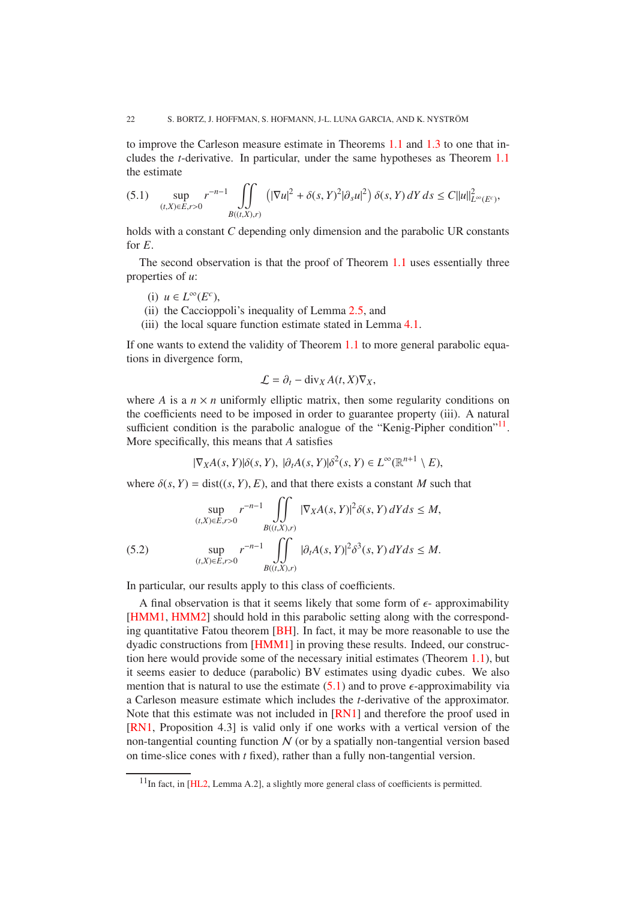<span id="page-21-2"></span>to improve the Carleson measure estimate in Theorems [1.1](#page-1-0) and [1.3](#page-1-1) to one that includes the *t*-derivative. In particular, under the same hypotheses as Theorem [1.1](#page-1-0) the estimate

<span id="page-21-1"></span>
$$
(5.1) \quad \sup_{(t,X)\in E, r>0} r^{-n-1} \iint_{B((t,X),r)} \left( |\nabla u|^2 + \delta(s,Y)^2 |\partial_s u|^2 \right) \delta(s,Y) \, dY \, ds \le C \|u\|_{L^\infty(E^c)}^2,
$$

holds with a constant *C* depending only dimension and the parabolic UR constants for *E*.

The second observation is that the proof of Theorem [1.1](#page-1-0) uses essentially three properties of *u*:

- (i) *u* ∈  $L^\infty(E^c)$ ,
- (ii) the Caccioppoli's inequality of Lemma [2.5,](#page-4-2) and
- (iii) the local square function estimate stated in Lemma [4.1.](#page-17-1)

If one wants to extend the validity of Theorem [1.1](#page-1-0) to more general parabolic equations in divergence form,

$$
\mathcal{L} = \partial_t - \text{div}_X A(t, X) \nabla_X,
$$

where *A* is a  $n \times n$  uniformly elliptic matrix, then some regularity conditions on the coefficients need to be imposed in order to guarantee property (iii). A natural sufficient condition is the parabolic analogue of the "Kenig-Pipher condition"<sup>[11](#page-21-0)</sup>. More specifically, this means that *A* satisfies

$$
|\nabla_X A(s, Y)| \delta(s, Y), \, |\partial_t A(s, Y)| \delta^2(s, Y) \in L^{\infty}(\mathbb{R}^{n+1} \setminus E),
$$

where  $\delta(s, Y) = \text{dist}((s, Y), E)$ , and that there exists a constant *M* such that

(5.2) 
$$
\sup_{(t,X)\in E, r>0} r^{-n-1} \int\int\int\limits_{B((t,X),r)} |\nabla_X A(s, Y)|^2 \delta(s, Y) dY ds \le M,
$$
  
\n
$$
\sup_{(t,X)\in E, r>0} r^{-n-1} \int\int\limits_{B((t,X),r)} |\partial_t A(s, Y)|^2 \delta^3(s, Y) dY ds \le M.
$$

In particular, our results apply to this class of coefficients.

A final observation is that it seems likely that some form of  $\epsilon$ - approximability [\[HMM1,](#page-27-1) [HMM2\]](#page-27-10) should hold in this parabolic setting along with the corresponding quantitative Fatou theorem [\[BH\]](#page-26-15). In fact, it may be more reasonable to use the dyadic constructions from [\[HMM1\]](#page-27-1) in proving these results. Indeed, our construction here would provide some of the necessary initial estimates (Theorem [1.1\)](#page-1-0), but it seems easier to deduce (parabolic) BV estimates using dyadic cubes. We also mention that is natural to use the estimate  $(5.1)$  and to prove  $\epsilon$ -approximability via a Carleson measure estimate which includes the *t*-derivative of the approximator. Note that this estimate was not included in [\[RN1\]](#page-27-19) and therefore the proof used in [\[RN1,](#page-27-19) Proposition 4.3] is valid only if one works with a vertical version of the non-tangential counting function  $N$  (or by a spatially non-tangential version based on time-slice cones with *t* fixed), rather than a fully non-tangential version.

<span id="page-21-0"></span> $11$ In fact, in [\[HL2,](#page-27-7) Lemma A.2], a slightly more general class of coefficients is permitted.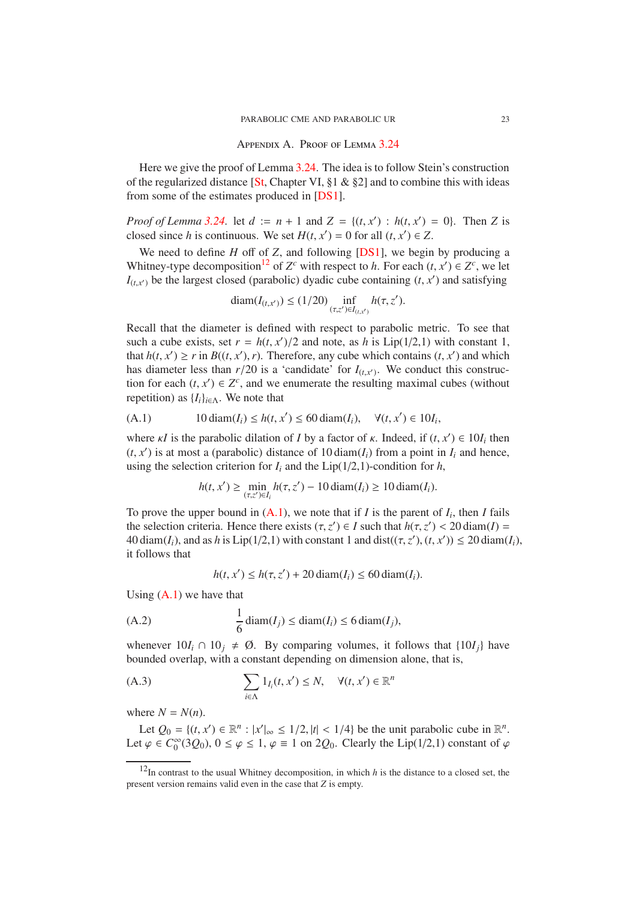## Appendix A. Proof of Lemma [3.24](#page-14-0)

<span id="page-22-5"></span><span id="page-22-0"></span>Here we give the proof of Lemma [3.24.](#page-14-0) The idea is to follow Stein's construction of the regularized distance [\[St,](#page-27-20) Chapter VI,  $\S1 \& \S2$ ] and to combine this with ideas from some of the estimates produced in [\[DS1\]](#page-26-13).

*Proof of Lemma* [3.24.](#page-14-0) let  $d := n + 1$  and  $Z = \{(t, x') : h(t, x') = 0\}$ . Then *Z* is closed since *h* is continuous. We set  $H(t, x') = 0$  for all  $(t, x') \in Z$ .

We need to define *H* off of *Z*, and following [\[DS1\]](#page-26-13), we begin by producing a Whitney-type decomposition<sup>[12](#page-22-1)</sup> of  $Z^c$  with respect to *h*. For each  $(t, x') \in Z^c$ , we let  $I_{(t,x')}$  be the largest closed (parabolic) dyadic cube containing  $(t, x')$  and satisfying

$$
diam(I_{(t,x')}) \le (1/20) \inf_{(\tau,z') \in I_{(t,x')}} h(\tau,z').
$$

Recall that the diameter is defined with respect to parabolic metric. To see that such a cube exists, set  $r = h(t, x')/2$  and note, as *h* is Lip(1/2,1) with constant 1, that  $h(t, x') \ge r$  in  $B((t, x'), r)$ . Therefore, any cube which contains  $(t, x')$  and which has diameter less than  $r/20$  is a 'candidate' for  $I_{(t,x')}$ . We conduct this construction for each  $(t, x') \in Z^c$ , and we enumerate the resulting maximal cubes (without repetition) as  ${I_i}_{i \in \Lambda}$ . We note that

(A.1) 
$$
10 \operatorname{diam}(I_i) \leq h(t, x') \leq 60 \operatorname{diam}(I_i), \quad \forall (t, x') \in 10I_i,
$$

where  $\kappa I$  is the parabolic dilation of *I* by a factor of  $\kappa$ . Indeed, if  $(t, x') \in 10I_i$  then  $(t, x')$  is at most a (parabolic) distance of 10 diam( $I_i$ ) from a point in  $I_i$  and hence, using the selection criterion for  $I_i$  and the Lip( $1/2,1$ )-condition for  $h$ ,

<span id="page-22-2"></span>
$$
h(t, x') \ge \min_{(\tau, z') \in I_i} h(\tau, z') - 10 \operatorname{diam}(I_i) \ge 10 \operatorname{diam}(I_i).
$$

To prove the upper bound in  $(A.1)$ , we note that if *I* is the parent of  $I_i$ , then *I* fails the selection criteria. Hence there exists  $(\tau, z') \in I$  such that  $h(\tau, z') < 20 \text{ diam}(I) =$  $40 \operatorname{diam}(I_i)$ , and as *h* is  $\text{Lip}(1/2,1)$  with constant 1 and  $\text{dist}((\tau, z'), (t, x')) \leq 20 \operatorname{diam}(I_i)$ , it follows that

<span id="page-22-4"></span><span id="page-22-3"></span>
$$
h(t, x') \le h(\tau, z') + 20 \operatorname{diam}(I_i) \le 60 \operatorname{diam}(I_i).
$$

Using  $(A.1)$  we have that

(A.2) 
$$
\frac{1}{6} \operatorname{diam}(I_j) \leq \operatorname{diam}(I_i) \leq 6 \operatorname{diam}(I_j),
$$

whenever  $10I_i \cap 10_i \neq \emptyset$ . By comparing volumes, it follows that  $\{10I_i\}$  have bounded overlap, with a constant depending on dimension alone, that is,

(A.3) 
$$
\sum_{i \in \Lambda} 1_{I_i}(t, x') \leq N, \quad \forall (t, x') \in \mathbb{R}^n
$$

where  $N = N(n)$ .

Let  $Q_0 = \{(t, x') \in \mathbb{R}^n : |x'|_{\infty} \leq 1/2, |t| < 1/4\}$  be the unit parabolic cube in  $\mathbb{R}^n$ . Let  $\varphi \in C_0^{\infty}(3Q_0)$ ,  $0 \le \varphi \le 1$ ,  $\varphi \equiv 1$  on 2 $Q_0$ . Clearly the Lip(1/2,1) constant of  $\varphi$ 

<span id="page-22-1"></span> $12$ In contrast to the usual Whitney decomposition, in which *h* is the distance to a closed set, the present version remains valid even in the case that *Z* is empty.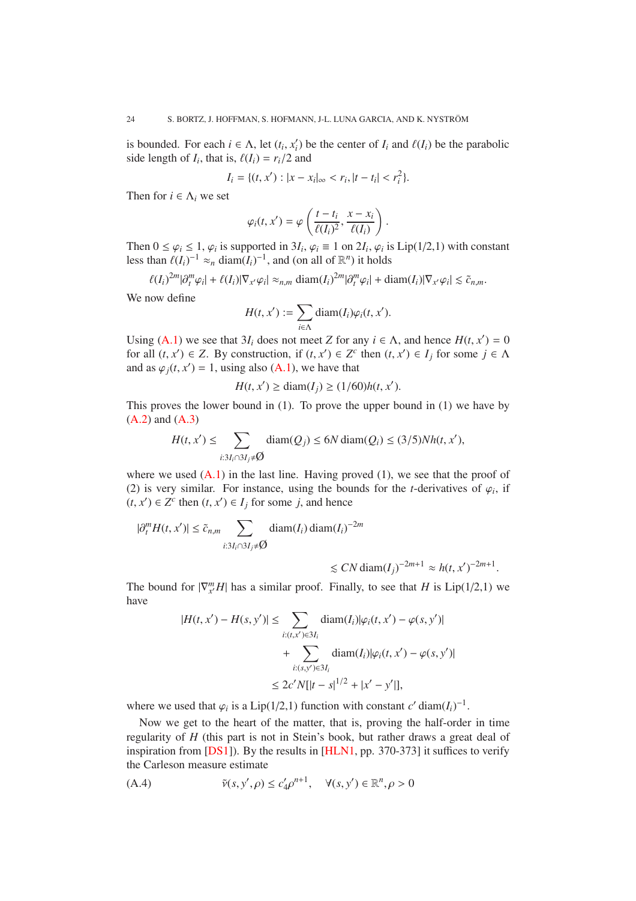<span id="page-23-1"></span>is bounded. For each  $i \in \Lambda$ , let  $(t_i, x'_i)$  be the center of  $I_i$  and  $\ell(I_i)$  be the parabolic side length of  $I_i$ , that is,  $\ell(I_i) = r_i/2$  and

$$
I_i = \{(t, x'): |x - x_i|_{\infty} < r_i, |t - t_i| < r_i^2\}.
$$

Then for  $i \in \Lambda_i$  we set

$$
\varphi_i(t,x') = \varphi\left(\frac{t-t_i}{\ell(I_i)^2}, \frac{x-x_i}{\ell(I_i)}\right).
$$

Then  $0 \leq \varphi_i \leq 1$ ,  $\varphi_i$  is supported in  $3I_i$ ,  $\varphi_i \equiv 1$  on  $2I_i$ ,  $\varphi_i$  is Lip(1/2,1) with constant less than  $\ell(I_i)^{-1} \approx_n \text{diam}(I_i)^{-1}$ , and (on all of  $\mathbb{R}^n$ ) it holds

$$
\ell(I_i)^{2m}|\partial_t^m\varphi_i| + \ell(I_i)|\nabla_{x'}\varphi_i| \approx_{n,m} \text{diam}(I_i)^{2m}|\partial_t^m\varphi_i| + \text{diam}(I_i)|\nabla_{x'}\varphi_i| \lesssim \tilde{c}_{n,m}.
$$

We now define

$$
H(t, x') := \sum_{i \in \Lambda} \text{diam}(I_i) \varphi_i(t, x').
$$

Using [\(A.1\)](#page-22-2) we see that  $3I_i$  does not meet *Z* for any  $i \in \Lambda$ , and hence  $H(t, x') = 0$ for all  $(t, x') \in Z$ . By construction, if  $(t, x') \in Z^c$  then  $(t, x') \in I_j$  for some  $j \in \Lambda$ and as  $\varphi_j(t, x') = 1$ , using also [\(A.1\)](#page-22-2), we have that

$$
H(t, x') \ge \text{diam}(I_j) \ge (1/60)h(t, x').
$$

This proves the lower bound in (1). To prove the upper bound in (1) we have by  $(A.2)$  and  $(A.3)$ 

$$
H(t, x') \le \sum_{i:3I_i \cap 3I_j \ne \emptyset} \text{diam}(Q_j) \le 6N \text{diam}(Q_i) \le (3/5)Nh(t, x'),
$$

where we used  $(A,1)$  in the last line. Having proved  $(1)$ , we see that the proof of (2) is very similar. For instance, using the bounds for the *t*-derivatives of  $\varphi_i$ , if  $(t, x')$  ∈  $Z^c$  then  $(t, x')$  ∈  $I_j$  for some  $j$ , and hence

$$
|\partial_t^m H(t, x')| \le \tilde{c}_{n,m} \sum_{i: 3I_i \cap 3I_j \neq \emptyset} \text{diam}(I_i) \text{diam}(I_i)^{-2m}
$$

$$
\lesssim CN \operatorname{diam}(I_j)^{-2m+1} \approx h(t, x')^{-2m+1}.
$$

The bound for  $|\nabla_{x'}^m H|$  has a similar proof. Finally, to see that *H* is Lip(1/2,1) we have

$$
|H(t, x') - H(s, y')| \le \sum_{i:(t, x') \in 3I_i} \text{diam}(I_i) |\varphi_i(t, x') - \varphi(s, y')|
$$
  
+ 
$$
\sum_{i:(s, y') \in 3I_i} \text{diam}(I_i) |\varphi_i(t, x') - \varphi(s, y')|
$$
  

$$
\le 2c' N[|t - s|^{1/2} + |x' - y'|],
$$

where we used that  $\varphi_i$  is a Lip(1/2,1) function with constant *c*' diam( $I_i$ )<sup>-1</sup>.

Now we get to the heart of the matter, that is, proving the half-order in time regularity of *H* (this part is not in Stein's book, but rather draws a great deal of inspiration from  $[DS1]$ ). By the results in  $[HLN1, pp. 370-373]$  it suffices to verify the Carleson measure estimate

<span id="page-23-0"></span>(A.4) 
$$
\tilde{v}(s, y', \rho) \le c_4' \rho^{n+1}, \quad \forall (s, y') \in \mathbb{R}^n, \rho > 0
$$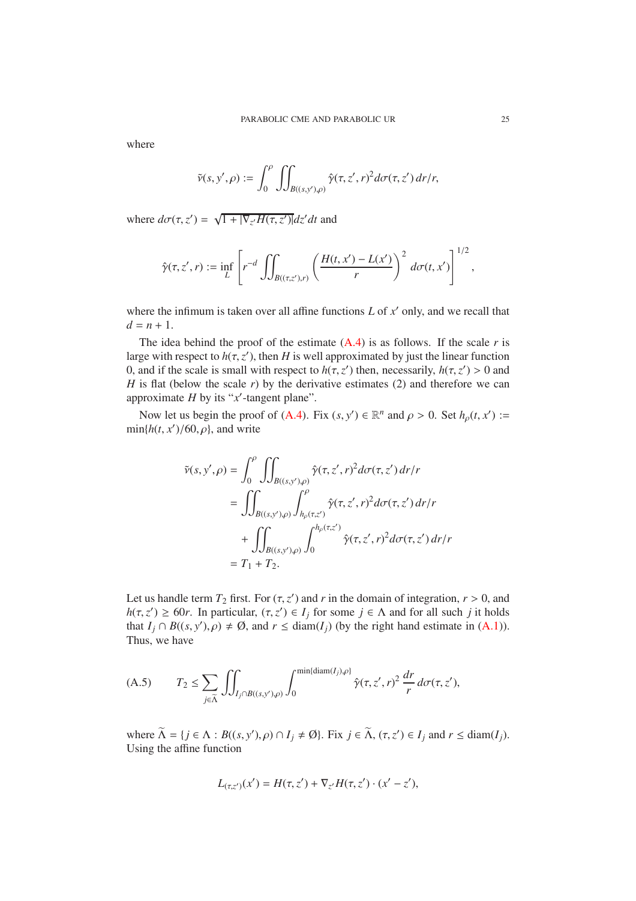where

$$
\tilde{v}(s,y',\rho) := \int_0^{\rho} \iint_{B((s,y'),\rho)} \hat{\gamma}(\tau,z',r)^2 d\sigma(\tau,z') dr/r,
$$

where  $d\sigma(\tau, z') = \sqrt{1 + |\nabla_{z'}H(\tau, z')|}dz'dt$  and

$$
\hat{\gamma}(\tau,z',r) := \inf_L \left[ r^{-d} \iint_{B((\tau,z'),r)} \left( \frac{H(t,x') - L(x')}{r} \right)^2 d\sigma(t,x') \right]^{1/2},
$$

where the infimum is taken over all affine functions  $L$  of  $x'$  only, and we recall that  $d = n + 1$ .

The idea behind the proof of the estimate  $(A.4)$  is as follows. If the scale *r* is large with respect to  $h(\tau, z')$ , then *H* is well approximated by just the linear function 0, and if the scale is small with respect to  $h(\tau, z')$  then, necessarily,  $h(\tau, z') > 0$  and *H* is flat (below the scale *r*) by the derivative estimates (2) and therefore we can approximate *H* by its "*x* ′ -tangent plane".

Now let us begin the proof of [\(A.4\)](#page-23-0). Fix  $(s, y') \in \mathbb{R}^n$  and  $\rho > 0$ . Set  $h_\rho(t, x') :=$  $min\{h(t, x')/60, \rho\}$ , and write

$$
\tilde{\nu}(s, y', \rho) = \int_0^{\rho} \iint_{B((s, y'), \rho)} \hat{\gamma}(\tau, z', r)^2 d\sigma(\tau, z') dr/r
$$
  
\n
$$
= \iint_{B((s, y'), \rho)} \int_{h_{\rho}(\tau, z')}^{\rho} \hat{\gamma}(\tau, z', r)^2 d\sigma(\tau, z') dr/r
$$
  
\n
$$
+ \iint_{B((s, y'), \rho)} \int_0^{h_{\rho}(\tau, z')} \hat{\gamma}(\tau, z', r)^2 d\sigma(\tau, z') dr/r
$$
  
\n
$$
= T_1 + T_2.
$$

Let us handle term  $T_2$  first. For  $(\tau, z')$  and *r* in the domain of integration,  $r > 0$ , and  $h(\tau, z') \ge 60r$ . In particular,  $(\tau, z') \in I_j$  for some  $j \in \Lambda$  and for all such *j* it holds that  $I_j \cap B((s, y'), \rho) \neq \emptyset$ , and  $r \leq \text{diam}(I_j)$  (by the right hand estimate in [\(A.1\)](#page-22-2)). Thus, we have

<span id="page-24-0"></span>(A.5) 
$$
T_2 \leq \sum_{j \in \widetilde{\Lambda}} \iint_{I_j \cap B((s,y'),\rho)} \int_0^{\min\{\text{diam}(I_j),\rho\}} \hat{\gamma}(\tau,z',r)^2 \frac{dr}{r} d\sigma(\tau,z'),
$$

where  $\widetilde{\Lambda} = \{ j \in \Lambda : B((s, y'), \rho) \cap I_j \neq \emptyset \}$ . Fix  $j \in \widetilde{\Lambda}$ ,  $(\tau, z') \in I_j$  and  $r \leq \text{diam}(I_j)$ . Using the affine function

$$
L_{(\tau,z')}(x') = H(\tau,z') + \nabla_{z'}H(\tau,z') \cdot (x'-z'),
$$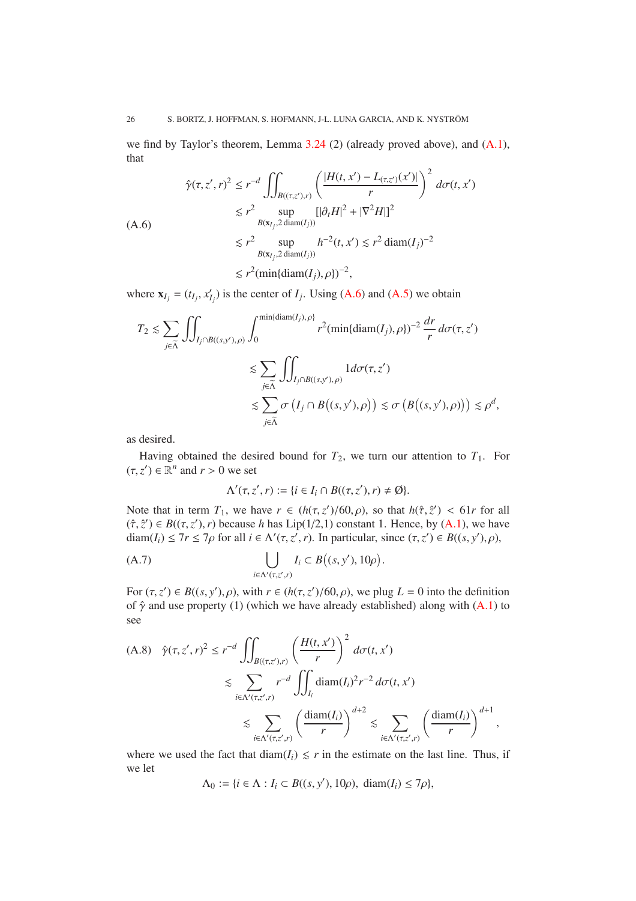we find by Taylor's theorem, Lemma [3.24](#page-14-0) (2) (already proved above), and [\(A.1\)](#page-22-2), that

<span id="page-25-0"></span>
$$
\hat{\gamma}(\tau, z', r)^2 \le r^{-d} \iint_{B((\tau, z'), r)} \left( \frac{|H(t, x') - L_{(\tau, z')}(x')|}{r} \right)^2 d\sigma(t, x')
$$
\n
$$
\le r^2 \sup_{B(x_{1j}, 2 \text{ diam}(I_j))} [|\partial_t H|^2 + |\nabla^2 H|]^2
$$
\n
$$
\le r^2 \sup_{B(x_{1j}, 2 \text{ diam}(I_j))} h^{-2}(t, x') \le r^2 \text{diam}(I_j)^{-2}
$$
\n
$$
\le r^2 (\min\{\text{diam}(I_j), \rho\})^{-2},
$$

where  $\mathbf{x}_{I_j} = (t_{I_j}, x'_{I_j})$  is the center of  $I_j$ . Using [\(A.6\)](#page-25-0) and [\(A.5\)](#page-24-0) we obtain

$$
T_2 \lesssim \sum_{j \in \widetilde{\Lambda}} \iint_{I_j \cap B((s,y'),\rho)} \int_0^{\min\{\text{diam}(I_j),\rho\}} r^2(\min\{\text{diam}(I_j),\rho\})^{-2} \frac{dr}{r} d\sigma(\tau,z')
$$
  

$$
\lesssim \sum_{j \in \widetilde{\Lambda}} \iint_{I_j \cap B((s,y'),\rho)} 1 d\sigma(\tau,z')
$$
  

$$
\lesssim \sum_{j \in \widetilde{\Lambda}} \sigma\left(I_j \cap B\big((s,y'),\rho\big)\right) \lesssim \sigma\left(B\big((s,y'),\rho\big)\right) \lesssim \rho^d
$$

,

as desired.

Having obtained the desired bound for  $T_2$ , we turn our attention to  $T_1$ . For  $(\tau, z') \in \mathbb{R}^n$  and  $r > 0$  we set

<span id="page-25-1"></span>
$$
\Lambda'(\tau, z', r) := \{i \in I_i \cap B((\tau, z'), r) \neq \emptyset\}.
$$

Note that in term  $T_1$ , we have  $r \in (h(\tau, z')/60, \rho)$ , so that  $h(\hat{\tau}, \hat{z}') < 61r$  for all  $(\hat{\tau}, \hat{z}') \in B((\tau, z'), r)$  because *h* has Lip(1/2,1) constant 1. Hence, by [\(A.1\)](#page-22-2), we have diam( $I_i$ )  $\leq 7r \leq 7\rho$  for all  $i \in \Lambda'(\tau, z', r)$ . In particular, since  $(\tau, z') \in B((s, y'), \rho)$ ,

(A.7) 
$$
\bigcup_{i \in \Lambda'(\tau, z', r)} I_i \subset B((s, y'), 10\rho).
$$

For  $(\tau, z') \in B((s, y'), \rho)$ , with  $r \in (h(\tau, z')/60, \rho)$ , we plug  $L = 0$  into the definition of  $\hat{\gamma}$  and use property (1) (which we have already established) along with [\(A.1\)](#page-22-2) to see

$$
(A.8) \quad \hat{\gamma}(\tau, z', r)^2 \le r^{-d} \iint_{B((\tau, z'), r)} \left(\frac{H(t, x')}{r}\right)^2 d\sigma(t, x')
$$
  

$$
\lesssim \sum_{i \in \Lambda'(\tau, z', r)} r^{-d} \iint_{I_i} \text{diam}(I_i)^2 r^{-2} d\sigma(t, x')
$$
  

$$
\lesssim \sum_{i \in \Lambda'(\tau, z', r)} \left(\frac{\text{diam}(I_i)}{r}\right)^{d+2} \lesssim \sum_{i \in \Lambda'(\tau, z', r)} \left(\frac{\text{diam}(I_i)}{r}\right)^{d+1},
$$

where we used the fact that  $\text{diam}(I_i) \leq r$  in the estimate on the last line. Thus, if we let

$$
\Lambda_0 := \{ i \in \Lambda : I_i \subset B((s, y'), 10\rho), \ \mathrm{diam}(I_i) \le 7\rho \},
$$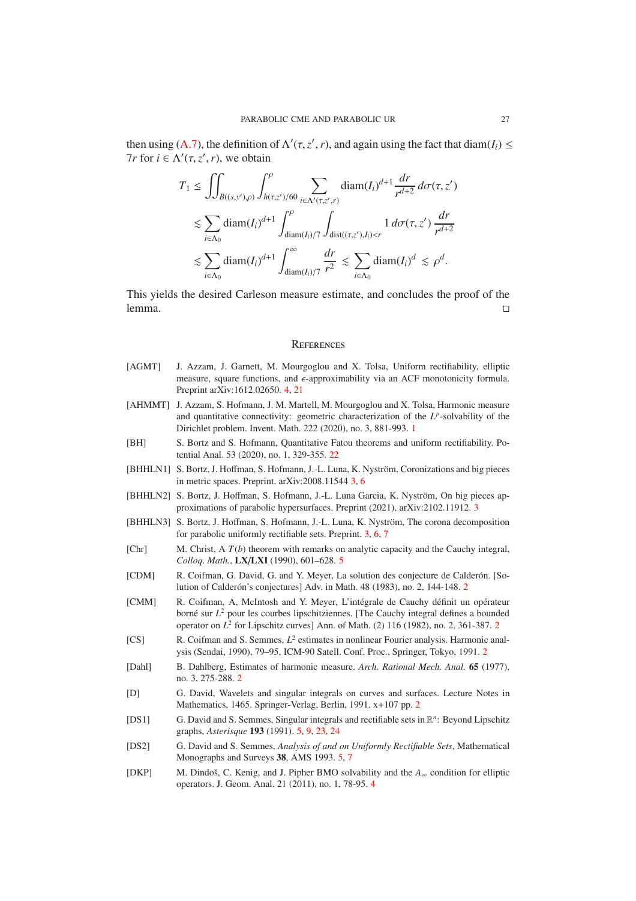then using [\(A.7\)](#page-25-1), the definition of  $\Lambda'(\tau, z', r)$ , and again using the fact that diam(*I<sub>i</sub>*)  $\le$ *Tr* for  $i \in \Lambda'(\tau, z', r)$ , we obtain

$$
T_1 \le \iint_{B((s,y'),\rho)} \int_{h(\tau,z')/60}^{\rho} \sum_{i \in \Lambda'(\tau,z',r)} \text{diam}(I_i)^{d+1} \frac{dr}{r^{d+2}} \, d\sigma(\tau,z')
$$
  

$$
\lesssim \sum_{i \in \Lambda_0} \text{diam}(I_i)^{d+1} \int_{\text{diam}(I_i)/7}^{\rho} \int_{\text{dist}((\tau,z'),I_i) < r} 1 \, d\sigma(\tau,z') \frac{dr}{r^{d+2}}
$$
  

$$
\lesssim \sum_{i \in \Lambda_0} \text{diam}(I_i)^{d+1} \int_{\text{diam}(I_i)/7}^{\infty} \frac{dr}{r^2} \lesssim \sum_{i \in \Lambda_0} \text{diam}(I_i)^d \lesssim \rho^d.
$$

This yields the desired Carleson measure estimate, and concludes the proof of the lemma. □

### <span id="page-26-0"></span>**REFERENCES**

- <span id="page-26-10"></span>[AGMT] J. Azzam, J. Garnett, M. Mourgoglou and X. Tolsa, Uniform rectifiability, elliptic measure, square functions, and  $\epsilon$ -approximability via an ACF monotonicity formula. Preprint arXiv:1612.02650. [4,](#page-3-6) [21](#page-20-2)
- <span id="page-26-1"></span>[AHMMT] J. Azzam, S. Hofmann, J. M. Martell, M. Mourgoglou and X. Tolsa, Harmonic measure and quantitative connectivity: geometric characterization of the  $L^p$ -solvability of the Dirichlet problem. Invent. Math. 222 (2020), no. 3, 881-993. [1](#page-0-1)
- <span id="page-26-15"></span>[BH] S. Bortz and S. Hofmann, Quantitative Fatou theorems and uniform rectifiability. Potential Anal. 53 (2020), no. 1, 329-355. [22](#page-21-2)
- <span id="page-26-7"></span>[BHHLN1] S. Bortz, J. Hoffman, S. Hofmann, J.-L. Luna, K. Nyström, Coronizations and big pieces in metric spaces. Preprint. arXiv:2008.11544 [3,](#page-2-3) [6](#page-5-1)
- <span id="page-26-9"></span>[BHHLN2] S. Bortz, J. Hoffman, S. Hofmann, J.-L. Luna Garcia, K. Nyström, On big pieces approximations of parabolic hypersurfaces. Preprint (2021), arXiv:2102.11912. [3](#page-2-3)
- <span id="page-26-8"></span>[BHHLN3] S. Bortz, J. Hoffman, S. Hofmann, J.-L. Luna, K. Nyström, The corona decomposition for parabolic uniformly rectifiable sets. Preprint. [3,](#page-2-3) [6,](#page-5-1) [7](#page-6-2)
- <span id="page-26-12"></span>[Chr] M. Christ, A *T*(*b*) theorem with remarks on analytic capacity and the Cauchy integral, *Colloq. Math.*, LX/LXI (1990), 601–628. [5](#page-4-3)
- <span id="page-26-3"></span>[CDM] R. Coifman, G. David, G. and Y. Meyer, La solution des conjecture de Calderón. [So-lution of Calderón's conjectures] Adv. in Math. 48 (1983), no. [2](#page-1-3), 144-148. 2
- <span id="page-26-2"></span>[CMM] R. Coifman, A, McIntosh and Y. Meyer, L'intégrale de Cauchy définit un opérateur borné sur *L*<sup>2</sup> pour les courbes lipschitziennes. [The Cauchy integral defines a bounded operator on *L* 2 for Lipschitz curves] Ann. of Math. (2) 116 (1982), no. 2, 361-387. [2](#page-1-3)
- <span id="page-26-4"></span>[CS] R. Coifman and S. Semmes,  $L^2$  estimates in nonlinear Fourier analysis. Harmonic analysis (Sendai, 1990), 79–95, ICM-90 Satell. Conf. Proc., Springer, Tokyo, 1991. [2](#page-1-3)
- <span id="page-26-5"></span>[Dahl] B. Dahlberg, Estimates of harmonic measure. *Arch. Rational Mech. Anal.* 65 (1977), no. 3, 275-288. [2](#page-1-3)
- <span id="page-26-6"></span>[D] G. David, Wavelets and singular integrals on curves and surfaces. Lecture Notes in Mathematics, 1465. Springer-Verlag, Berlin, 1991. x+107 pp. [2](#page-1-3)
- <span id="page-26-13"></span>[DS1] G. David and S. Semmes, Singular integrals and rectifiable sets in  $\mathbb{R}^n$ : Beyond Lipschitz graphs, *Asterisque* 193 (1991). [5,](#page-4-3) [9,](#page-8-3) [23,](#page-22-5) [24](#page-23-1)
- <span id="page-26-14"></span>[DS2] G. David and S. Semmes, *Analysis of and on Uniformly Rectifiable Sets*, Mathematical Monographs and Surveys 38, AMS 1993. [5,](#page-4-3) [7](#page-6-2)
- <span id="page-26-11"></span>[DKP] M. Dindo˘s, C. Kenig, and J. Pipher BMO solvability and the *A*<sup>∞</sup> condition for elliptic operators. J. Geom. Anal. 21 (2011), no. 1, 78-95. [4](#page-3-6)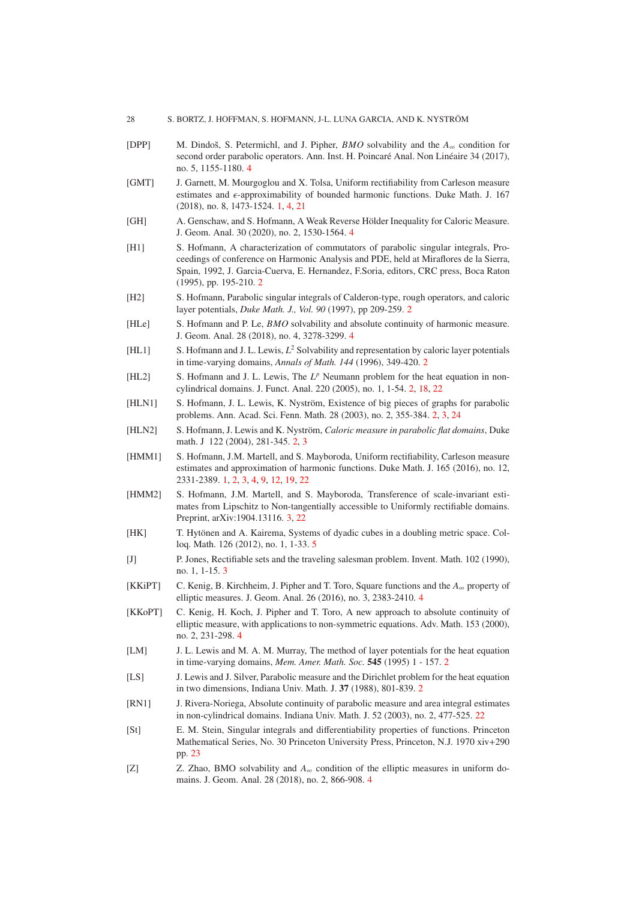#### 28 S. BORTZ, J. HOFFMAN, S. HOFMANN, J-L. LUNA GARCIA, AND K. NYSTRÖM

- <span id="page-27-12"></span>[DPP] M. Dindo˘s, S. Petermichl, and J. Pipher, *BMO* solvability and the *A*<sup>∞</sup> condition for second order parabolic operators. Ann. Inst. H. Poincaré Anal. Non Linéaire 34 (2017), no. 5, 1155-1180. [4](#page-3-6)
- <span id="page-27-0"></span>[GMT] J. Garnett, M. Mourgoglou and X. Tolsa, Uniform rectifiability from Carleson measure estimates and  $\epsilon$ -approximability of bounded harmonic functions. Duke Math. J. 167 (2018), no. 8, 1473-1524. [1,](#page-0-1) [4,](#page-3-6) [21](#page-20-2)
- <span id="page-27-13"></span>[GH] A. Genschaw, and S. Hofmann, A Weak Reverse Hölder Inequality for Caloric Measure. J. Geom. Anal. 30 (2020), no. 2, 1530-1564. [4](#page-3-6)
- <span id="page-27-4"></span>[H1] S. Hofmann, A characterization of commutators of parabolic singular integrals, Proceedings of conference on Harmonic Analysis and PDE, held at Miraflores de la Sierra, Spain, 1992, J. Garcia-Cuerva, E. Hernandez, F.Soria, editors, CRC press, Boca Raton (1995), pp. 195-210. [2](#page-1-3)
- <span id="page-27-5"></span>[H2] S. Hofmann, Parabolic singular integrals of Calderon-type, rough operators, and caloric layer potentials, *Duke Math. J., Vol. 90* (1997), pp 209-259. [2](#page-1-3)
- <span id="page-27-16"></span>[HLe] S. Hofmann and P. Le, *BMO* solvability and absolute continuity of harmonic measure. J. Geom. Anal. 28 (2018), no. 4, 3278-3299. [4](#page-3-6)
- <span id="page-27-6"></span>[HL1] S. Hofmann and J. L. Lewis, *L* <sup>2</sup> Solvability and representation by caloric layer potentials in time-varying domains, *Annals of Math. 144* (1996), 349-420. [2](#page-1-3)
- <span id="page-27-7"></span>[HL2] S. Hofmann and J. L. Lewis, The L<sup>p</sup> Neumann problem for the heat equation in noncylindrical domains. J. Funct. Anal. 220 (2005), no. 1, 1-54. [2,](#page-1-3) [18,](#page-17-2) [22](#page-21-2)
- <span id="page-27-2"></span>[HLN1] S. Hofmann, J. L. Lewis, K. Nyström, Existence of big pieces of graphs for parabolic problems. Ann. Acad. Sci. Fenn. Math. 28 (2003), no. 2, 355-384. [2,](#page-1-3) [3,](#page-2-3) [24](#page-23-1)
- <span id="page-27-3"></span>[HLN2] S. Hofmann, J. Lewis and K. Nyström, *Caloric measure in parabolic flat domains*, Duke math. J 122 (2004), 281-345. [2,](#page-1-3) [3](#page-2-3)
- <span id="page-27-1"></span>[HMM1] S. Hofmann, J.M. Martell, and S. Mayboroda, Uniform rectifiability, Carleson measure estimates and approximation of harmonic functions. Duke Math. J. 165 (2016), no. 12, 2331-2389. [1,](#page-0-1) [2,](#page-1-3) [3,](#page-2-3) [4,](#page-3-6) [9,](#page-8-3) [12,](#page-11-3) [19,](#page-18-5) [22](#page-21-2)
- <span id="page-27-10"></span>[HMM2] S. Hofmann, J.M. Martell, and S. Mayboroda, Transference of scale-invariant estimates from Lipschitz to Non-tangentially accessible to Uniformly rectifiable domains. Preprint, arXiv:1904.13116. [3,](#page-2-3) [22](#page-21-2)
- <span id="page-27-18"></span>[HK] T. Hytönen and A. Kairema, Systems of dyadic cubes in a doubling metric space. Colloq. Math. 126 (2012), no. 1, 1-33. [5](#page-4-3)
- <span id="page-27-11"></span>[J] P. Jones, Rectifiable sets and the traveling salesman problem. Invent. Math. 102 (1990), no. 1, 1-15. [3](#page-2-3)
- <span id="page-27-15"></span>[KKiPT] C. Kenig, B. Kirchheim, J. Pipher and T. Toro, Square functions and the *A*<sup>∞</sup> property of elliptic measures. J. Geom. Anal. 26 (2016), no. 3, 2383-2410. [4](#page-3-6)
- <span id="page-27-14"></span>[KKoPT] C. Kenig, H. Koch, J. Pipher and T. Toro, A new approach to absolute continuity of elliptic measure, with applications to non-symmetric equations. Adv. Math. 153 (2000), no. 2, 231-298. [4](#page-3-6)
- <span id="page-27-8"></span>[LM] J. L. Lewis and M. A. M. Murray, The method of layer potentials for the heat equation in time-varying domains, *Mem. Amer. Math. Soc.* 545 (1995) 1 - 157. [2](#page-1-3)
- <span id="page-27-9"></span>[LS] J. Lewis and J. Silver, Parabolic measure and the Dirichlet problem for the heat equation in two dimensions, Indiana Univ. Math. J. 37 (1988), 801-839. [2](#page-1-3)
- <span id="page-27-19"></span>[RN1] J. Rivera-Noriega, Absolute continuity of parabolic measure and area integral estimates in non-cylindrical domains. Indiana Univ. Math. J. 52 (2003), no. 2, 477-525. [22](#page-21-2)
- <span id="page-27-20"></span>[St] E. M. Stein, Singular integrals and differentiability properties of functions. Princeton Mathematical Series, No. 30 Princeton University Press, Princeton, N.J. 1970 xiv+290 pp. [23](#page-22-5)
- <span id="page-27-17"></span>[Z] Z. Zhao, BMO solvability and *A*<sup>∞</sup> condition of the elliptic measures in uniform domains. J. Geom. Anal. 28 (2018), no. 2, 866-908. [4](#page-3-6)